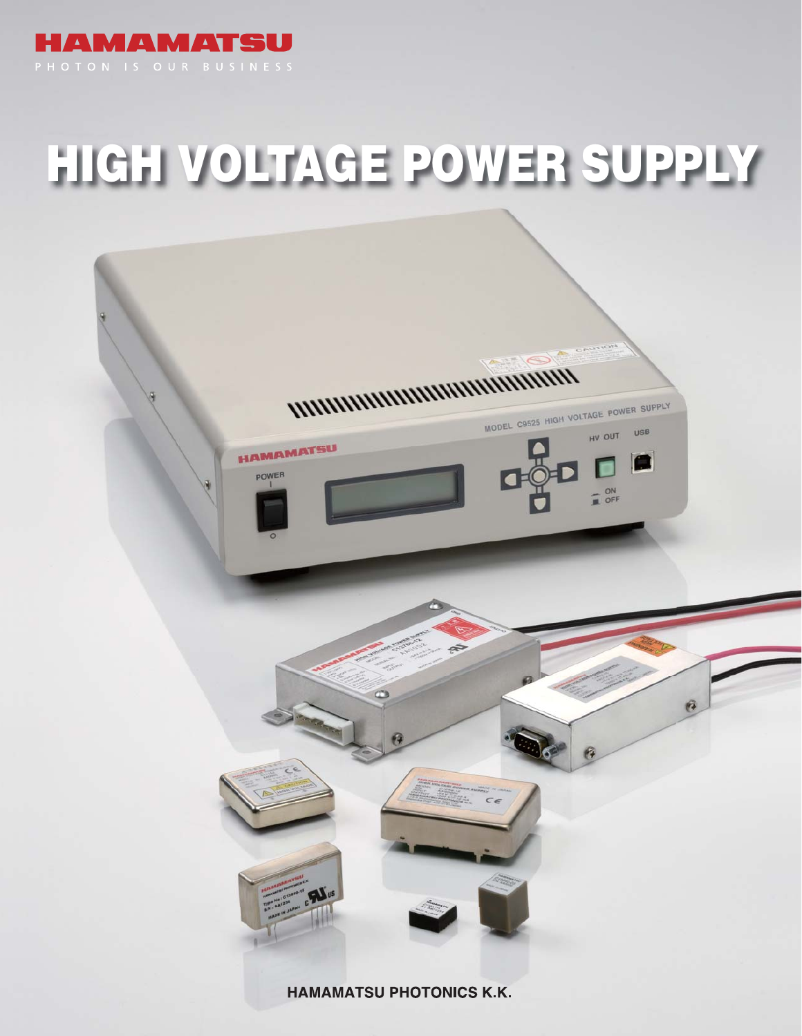

# **HIGH VOLTAGE POWER SUPPLY**

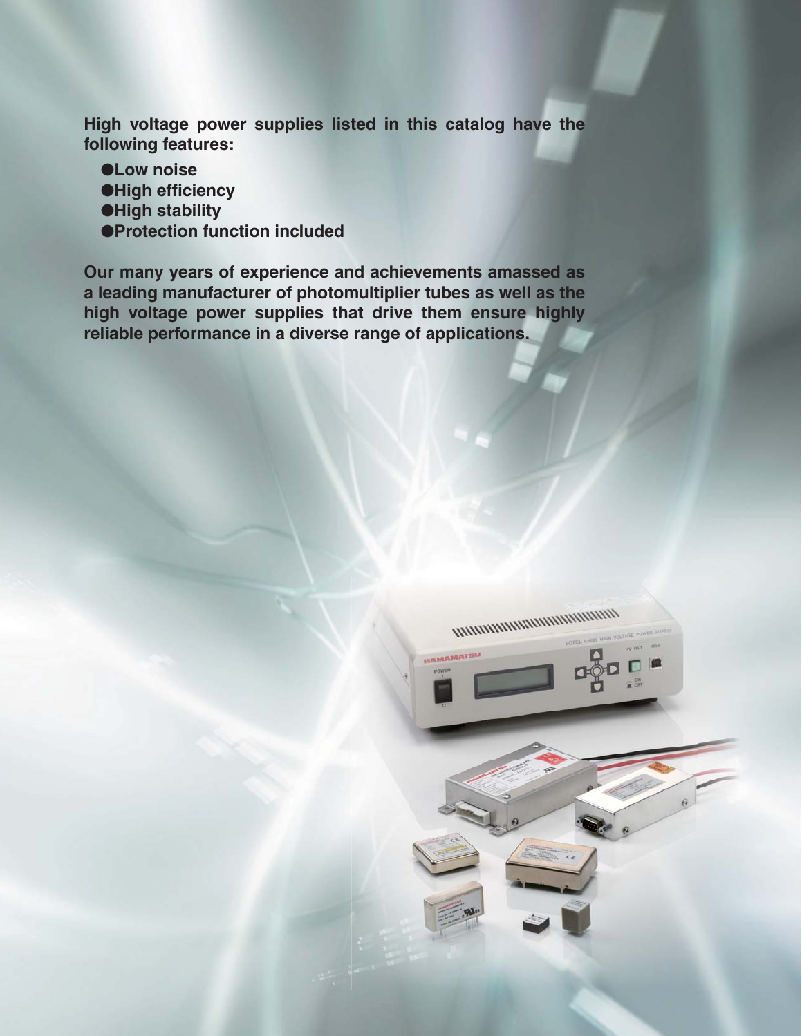**High voltage power supplies listed in this catalog have the following features:**

- ●**Low noise**
- ●**High efficiency**
- ●**High stability**
- ●**Protection function included**

**Our many years of experience and achievements amassed as a leading manufacturer of photomultiplier tubes as well as the high voltage power supplies that drive them ensure highly reliable performance in a diverse range of applications.**

![](_page_1_Picture_6.jpeg)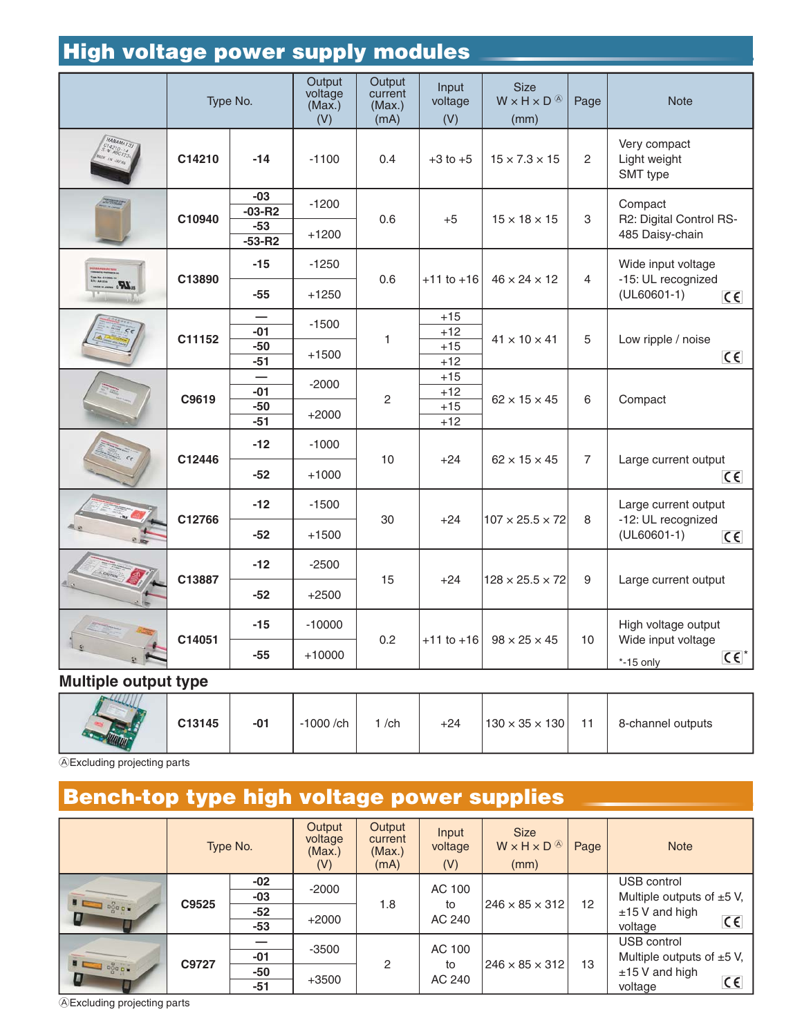|              |        | Type No.                                   | Output<br>voltage<br>(Max.)<br>(V) | Output<br>current<br>(Max.)<br>(mA) | Input<br>voltage<br>(V)          | <b>Size</b><br>$W \times H \times D$ <sup><sup>(A)</sup></sup><br>(mm) | Page           | <b>Note</b>                                                                |
|--------------|--------|--------------------------------------------|------------------------------------|-------------------------------------|----------------------------------|------------------------------------------------------------------------|----------------|----------------------------------------------------------------------------|
| HAMAMATSJ    | C14210 | $-14$                                      | $-1100$                            | 0.4                                 | $+3$ to $+5$                     | $15 \times 7.3 \times 15$                                              | 2              | Very compact<br>Light weight<br>SMT type                                   |
| 海南市          | C10940 | $-03$<br>$-03 - R2$<br>$-53$<br>$-53 - R2$ | $-1200$<br>$+1200$                 | 0.6                                 | $+5$                             | $15 \times 18 \times 15$                                               | 3              | Compact<br>R2: Digital Control RS-<br>485 Daisy-chain                      |
| $\mathbf{R}$ | C13890 | $-15$<br>$-55$                             | $-1250$<br>$+1250$                 | 0.6                                 | $+11$ to $+16$                   | $46 \times 24 \times 12$                                               | 4              | Wide input voltage<br>-15: UL recognized<br>$(UL60601-1)$<br>$C \in$       |
|              | C11152 | $-01$<br>$-50$<br>$-51$                    | $-1500$<br>$+1500$                 | $\mathbf{1}$                        | $+15$<br>$+12$<br>$+15$<br>$+12$ | $41 \times 10 \times 41$                                               | 5              | Low ripple / noise<br>$C \in$                                              |
|              | C9619  | $-01$<br>$-50$<br>$-51$                    | $-2000$<br>$+2000$                 | $\overline{c}$                      | $+15$<br>$+12$<br>$+15$<br>$+12$ | $62 \times 15 \times 45$                                               | 6              | Compact                                                                    |
|              | C12446 | $-12$<br>$-52$                             | $-1000$<br>$+1000$                 | 10                                  | $+24$                            | $62 \times 15 \times 45$                                               | $\overline{7}$ | Large current output<br>$C \in$                                            |
|              | C12766 | $-12$<br>$-52$                             | $-1500$<br>$+1500$                 | 30                                  | $+24$                            | $107 \times 25.5 \times 72$                                            | 8              | Large current output<br>-12: UL recognized<br>$(UL60601-1)$<br>$C \in$     |
|              | C13887 | $-12$<br>$-52$                             | $-2500$<br>$+2500$                 | 15                                  | $+24$                            | $128 \times 25.5 \times 72$                                            | 9              | Large current output                                                       |
|              | C14051 | $-15$<br>$-55$                             | $-10000$<br>$+10000$               | 0.2                                 | $+11$ to $+16$                   | $98 \times 25 \times 45$                                               | 10             | High voltage output<br>Wide input voltage<br>$C \epsilon^*$<br>$*-15$ only |

### **Multiple output type**

| C13145 | $-01$ | 1000 /ch | /ch | $+24$ | $130 \times 35 \times 130$ | $-1$ | 8-channel outputs |
|--------|-------|----------|-----|-------|----------------------------|------|-------------------|
|        |       |          |     |       |                            |      |                   |

AExcluding projecting parts

# **Bench-top type high voltage power supplies**

|                                                                                                                                     |       | Type No.                     | Output<br>voltage<br>(Max.)<br>(V) | Output<br>current<br>(Max.)<br>(mA) | Input<br>voltage<br>(V) | <b>Size</b><br>$W \times H \times D$ <sup><sup><math>\circledcirc</math></sup></sup><br>(mm) | Page | <b>Note</b>                                                                                           |
|-------------------------------------------------------------------------------------------------------------------------------------|-------|------------------------------|------------------------------------|-------------------------------------|-------------------------|----------------------------------------------------------------------------------------------|------|-------------------------------------------------------------------------------------------------------|
| $\begin{array}{c}\n\bullet \\ \bullet \\ \bullet \\ \bullet \\ \bullet\n\end{array}$                                                | C9525 | -02<br>$-03$<br>$-52$<br>-53 | $-2000$<br>$+2000$                 | 1.8                                 | AC 100<br>to<br>AC 240  | $ 246 \times 85 \times 312 $                                                                 | 12   | USB control<br>Multiple outputs of $\pm 5$ V,<br>$±15$ V and high<br>$C \in$<br>voltage               |
| $\begin{array}{c c c c c c} \hline \textbf{H} & \textbf{D}^{\text{O}}_{\text{QCD}} & \textbf{I} & \textbf{I} \\ \hline \end{array}$ | C9727 | $-01$<br>-50<br>$-51$        | $-3500$<br>$+3500$                 | 2                                   | AC 100<br>to<br>AC 240  | $ 246 \times 85 \times 312 $                                                                 | 13   | USB control<br>Multiple outputs of $\pm 5$ V,<br>$±15$ V and high<br>$\overline{\epsilon}$<br>voltage |

AExcluding projecting parts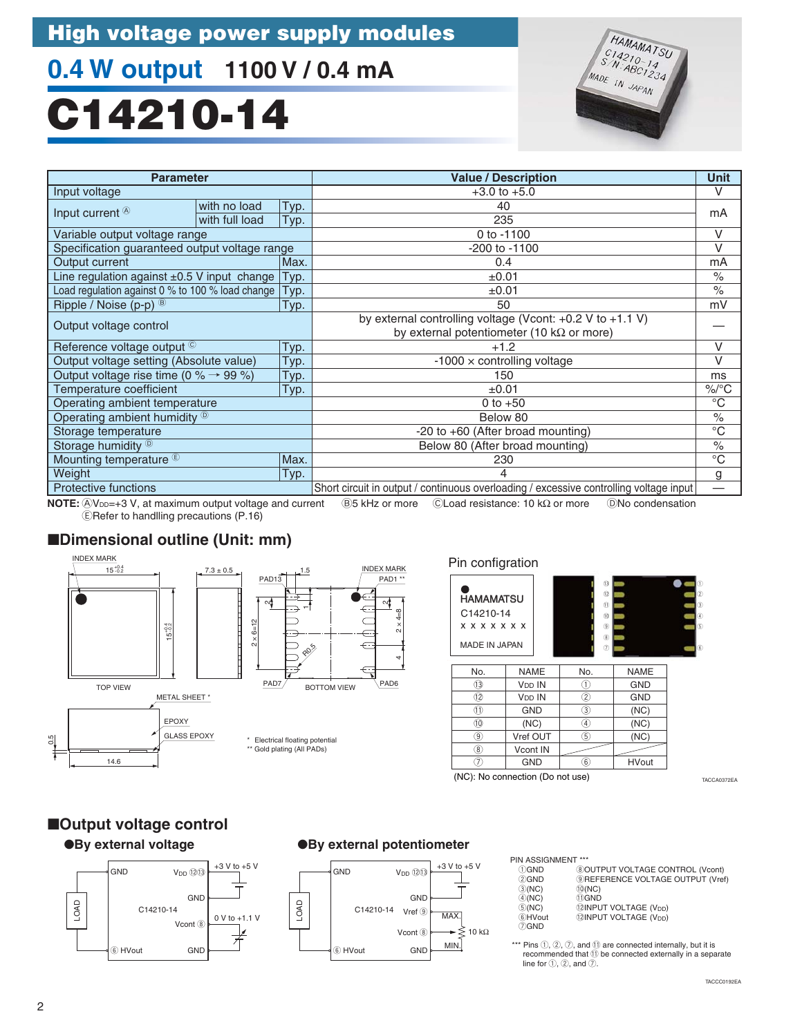# **0.4 W output 1100 V / 0.4 mA**

# **C14210-14**

![](_page_3_Picture_3.jpeg)

| <b>Parameter</b>                                  |                |      | <b>Value / Description</b>                                                             | <b>Unit</b>        |  |
|---------------------------------------------------|----------------|------|----------------------------------------------------------------------------------------|--------------------|--|
| Input voltage                                     |                |      | $+3.0$ to $+5.0$                                                                       | V                  |  |
|                                                   | with no load   | Typ. | 40                                                                                     |                    |  |
| Input current $\circledcirc$                      | with full load | Typ. | 235                                                                                    | mA                 |  |
| Variable output voltage range                     |                |      | 0 to -1100                                                                             | $\vee$             |  |
| Specification guaranteed output voltage range     |                |      | -200 to -1100                                                                          | $\vee$             |  |
| Output current                                    |                | Max. | 0.4                                                                                    | mA                 |  |
| Line regulation against $\pm 0.5$ V input change  |                | Typ. | $\pm 0.01$                                                                             | $\frac{1}{\alpha}$ |  |
| Load regulation against 0 % to 100 % load change  |                | Typ. | ±0.01                                                                                  | $\frac{0}{0}$      |  |
| Ripple / Noise (p-p) <sup>®</sup>                 |                | Typ. | 50                                                                                     | mV                 |  |
|                                                   |                |      | by external controlling voltage (Vcont: $+0.2$ V to $+1.1$ V)                          |                    |  |
| Output voltage control                            |                |      | by external potentiometer (10 k $\Omega$ or more)                                      |                    |  |
| Reference voltage output ©                        |                | Typ. | $+1.2$                                                                                 |                    |  |
| Output voltage setting (Absolute value)           |                | Typ. | $-1000 \times$ controlling voltage                                                     |                    |  |
| Output voltage rise time (0 % $\rightarrow$ 99 %) |                | Typ. | 150                                                                                    |                    |  |
| Temperature coefficient                           |                | Typ. | $\pm 0.01$                                                                             | $\%$ /°C           |  |
| Operating ambient temperature                     |                |      | 0 to $+50$                                                                             | $^{\circ}C$        |  |
| Operating ambient humidity <sup>®</sup>           |                |      | Below 80                                                                               | $\frac{0}{0}$      |  |
| Storage temperature                               |                |      | $-20$ to $+60$ (After broad mounting)                                                  | $^{\circ}C$        |  |
| Storage humidity <sup>®</sup>                     |                |      | Below 80 (After broad mounting)                                                        | $\frac{0}{0}$      |  |
| Mounting temperature <sup>®</sup><br>Max.         |                |      | 230                                                                                    |                    |  |
| Weight                                            |                | Typ. |                                                                                        | g                  |  |
| <b>Protective functions</b>                       |                |      | Short circuit in output / continuous overloading / excessive controlling voltage input |                    |  |

AVDD=+3 V, at maximum output voltage and current B5 kHz or more CLoad resistance: 10 kΩ or more DNo condensation **NOTE:** ERefer to handlling precautions (P.16)

> N,  $2 \times 4 = 8$

 $\epsilon$  $\subset$  $\subset$ € €

INDEX MARK

4

### ■**Dimensional outline (Unit: mm)**

![](_page_3_Figure_7.jpeg)

#### Pin configration

 $\circledcirc$  $\overline{\circledast}$  $(7)$ 

| <b>HAMAMATSU</b><br>C14210-14<br>x x x x x x x<br><b>MADE IN JAPAN</b> |               | $\overline{13}$<br>(2)<br>(1)<br>(0)<br>$\circledcirc$<br>$6$<br>$\circled7$ |             | $\circled$<br>$\circled{2}$<br>3<br>$^{\circ}$<br>$\circledS$<br>$\circledS$ |
|------------------------------------------------------------------------|---------------|------------------------------------------------------------------------------|-------------|------------------------------------------------------------------------------|
| No.                                                                    | <b>NAME</b>   | No.                                                                          | <b>NAME</b> |                                                                              |
| 13                                                                     | <b>VDD IN</b> | D                                                                            | <b>GND</b>  |                                                                              |
| 12                                                                     | <b>VDD IN</b> | 2                                                                            | <b>GND</b>  |                                                                              |
| N                                                                      | <b>GND</b>    | 3)                                                                           | (NC)        |                                                                              |
| 10                                                                     | (NC)          | $\left( 4\right)$                                                            | (NC)        |                                                                              |
| 9.                                                                     | Vref OUT      | G)                                                                           | (NC)        |                                                                              |

 $\overline{5}$  $\overline{6}$ 

(NC): No connection (Do not use)

Vcont IN GND

TACCA0372EA

### ●**By external voltage** ■**Output voltage control**

![](_page_3_Figure_13.jpeg)

#### ●**By external potentiometer**

![](_page_3_Figure_15.jpeg)

| <b>PIN ASSIGNMENT ***</b> |                                                                 |
|---------------------------|-----------------------------------------------------------------|
| ADAND                     | $\bigcirc$ $\bigcirc$ $\biguparrow$ $\biguparrow$ $\biguparrow$ |

| <b>DGND</b> | <b>8 OUTPUT VOLTAGE CONTROL (Vcont)</b>         |
|-------------|-------------------------------------------------|
| 2GND        | <b>9REFERENCE VOLTAGE OUTPUT (Vref)</b>         |
| (3)(NC)     | (10(NC))                                        |
| (4)(NC)     | 10GND                                           |
| (5)(NC)     | (2INPUT VOLTAGE (V <sub>DD</sub> )              |
| 6HVout      | <sup>(2)</sup> INPUT VOLTAGE (V <sub>DD</sub> ) |
| 7) GND      |                                                 |

HVout

\*\*\* Pins  $(1, 2, 7)$ , and  $(1)$  are connected internally, but it is recommended that  $10$  be connected externally in a separate line for  $(1, 2)$ , and  $(2)$ .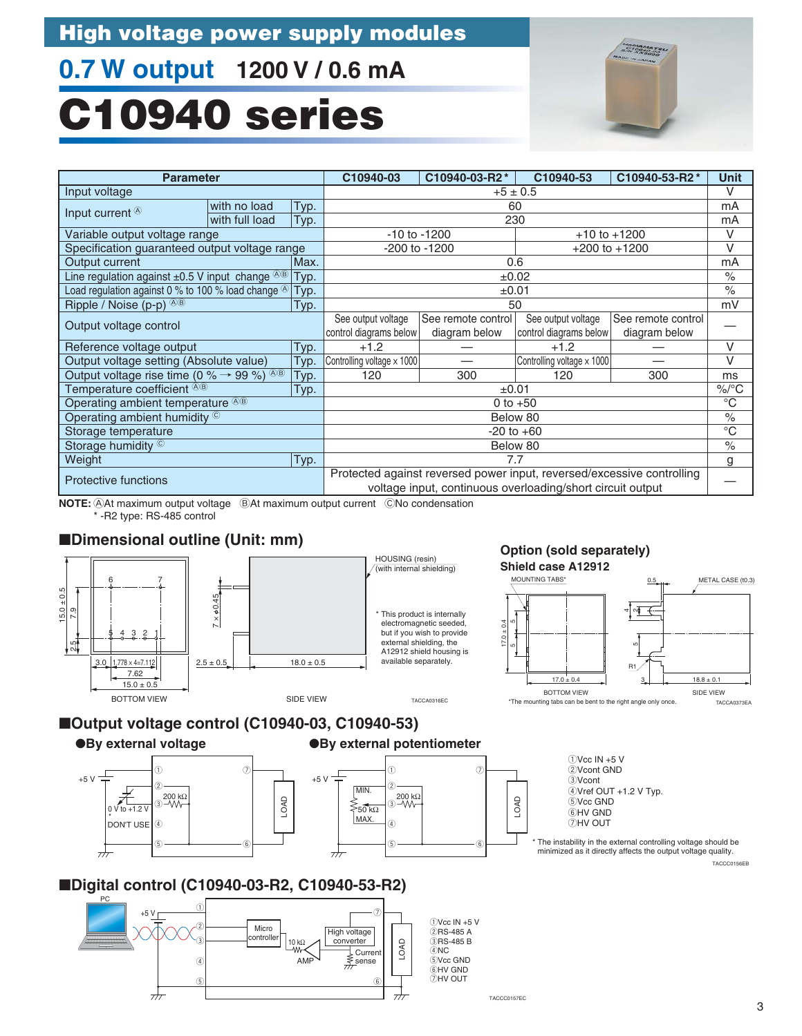# **0.7 W output 1200 V / 0.6 mA**

# **C10940 series**

![](_page_4_Picture_3.jpeg)

| <b>Parameter</b>                              |                    |                    | C10940-53                                                                                                  | C10940-53-R2*                                                                                | <b>Unit</b>                                                                                                                                                                                                 |  |  |
|-----------------------------------------------|--------------------|--------------------|------------------------------------------------------------------------------------------------------------|----------------------------------------------------------------------------------------------|-------------------------------------------------------------------------------------------------------------------------------------------------------------------------------------------------------------|--|--|
|                                               | $+5 \pm 0.5$       |                    |                                                                                                            |                                                                                              |                                                                                                                                                                                                             |  |  |
| Typ.                                          | 60                 |                    |                                                                                                            |                                                                                              |                                                                                                                                                                                                             |  |  |
| Typ.                                          |                    |                    |                                                                                                            |                                                                                              | mA                                                                                                                                                                                                          |  |  |
|                                               |                    |                    |                                                                                                            |                                                                                              | V                                                                                                                                                                                                           |  |  |
| Specification guaranteed output voltage range |                    |                    |                                                                                                            |                                                                                              | V                                                                                                                                                                                                           |  |  |
| Max.                                          |                    |                    |                                                                                                            |                                                                                              | mA                                                                                                                                                                                                          |  |  |
| Typ.                                          |                    |                    |                                                                                                            |                                                                                              | $\frac{0}{0}$                                                                                                                                                                                               |  |  |
| Typ.                                          |                    |                    |                                                                                                            |                                                                                              | $\%$                                                                                                                                                                                                        |  |  |
| Typ.                                          |                    |                    |                                                                                                            |                                                                                              | mV                                                                                                                                                                                                          |  |  |
|                                               | See output voltage | See remote control | See output voltage                                                                                         | See remote control                                                                           |                                                                                                                                                                                                             |  |  |
|                                               |                    | diagram below      | control diagrams below                                                                                     | diagram below                                                                                |                                                                                                                                                                                                             |  |  |
| Typ.                                          | $+1.2$             |                    | $+1.2$                                                                                                     |                                                                                              | V                                                                                                                                                                                                           |  |  |
| Typ.                                          |                    |                    |                                                                                                            |                                                                                              | V                                                                                                                                                                                                           |  |  |
| Typ.                                          | 120                | 300                | 120                                                                                                        | 300                                                                                          | ms                                                                                                                                                                                                          |  |  |
| Typ.                                          |                    |                    |                                                                                                            |                                                                                              | $\%$ /°C                                                                                                                                                                                                    |  |  |
|                                               |                    |                    |                                                                                                            |                                                                                              | $^{\circ}C$                                                                                                                                                                                                 |  |  |
|                                               |                    |                    |                                                                                                            |                                                                                              | $\frac{1}{\sqrt{2}}$                                                                                                                                                                                        |  |  |
|                                               |                    |                    |                                                                                                            |                                                                                              | $^{\circ}C$                                                                                                                                                                                                 |  |  |
| Storage humidity ©                            |                    |                    | Below 80                                                                                                   |                                                                                              |                                                                                                                                                                                                             |  |  |
| Typ.<br>Weight                                |                    |                    | 7.7                                                                                                        |                                                                                              |                                                                                                                                                                                                             |  |  |
|                                               |                    |                    |                                                                                                            |                                                                                              |                                                                                                                                                                                                             |  |  |
|                                               |                    |                    |                                                                                                            |                                                                                              |                                                                                                                                                                                                             |  |  |
|                                               |                    | C10940-03          | C10940-03-R2*<br>$-10$ to $-1200$<br>-200 to -1200<br>control diagrams below<br>Controlling voltage x 1000 | 230<br>0.6<br>$\pm 0.02$<br>±0.01<br>50<br>±0.01<br>0 to $+50$<br>Below 80<br>$-20$ to $+60$ | $+10$ to $+1200$<br>$+200$ to $+1200$<br>Controlling voltage x 1000<br>Protected against reversed power input, reversed/excessive controlling<br>voltage input, continuous overloading/short circuit output |  |  |

**NOTE:**  $\oslash$ At maximum output voltage  $\oslash$ At maximum output current  $\oslash$ No condensation \* -R2 type: RS-485 control

### ■**Dimensional outline (Unit: mm)**

![](_page_4_Figure_7.jpeg)

●**By external voltage**

![](_page_4_Figure_9.jpeg)

![](_page_4_Figure_10.jpeg)

 $\circledA$ 

 $\widehat{5}$ 

MAX.

 $\frac{1}{\sqrt{2}}$ 

 $(1)$ Vcc IN  $+5$  V 2Vcont GND 3Vcont 4Vref OUT +1.2 V Typ. 5Vcc GND 6HV GND 7HV OUT

TACCC0157EC

6

LOAD

TACCC0156EB \* The instability in the external controlling voltage should be minimized as it directly affects the output voltage quality.

### ■**Digital control (C10940-03-R2, C10940-53-R2)**

![](_page_4_Figure_14.jpeg)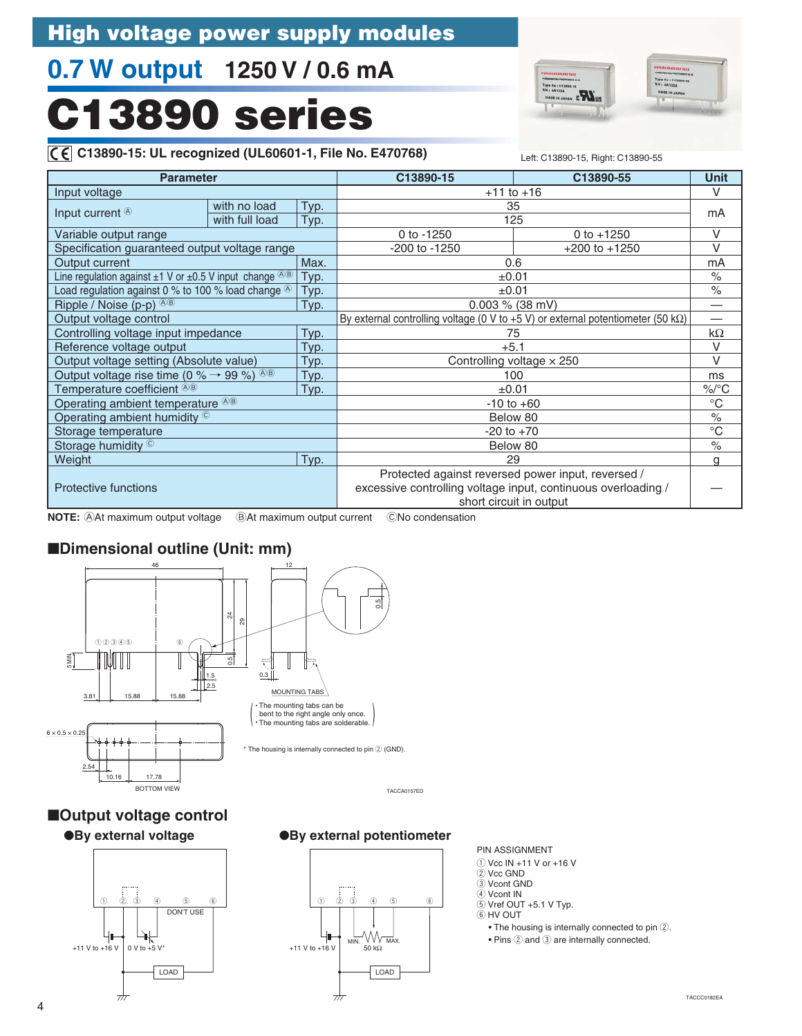# **0.7 W output 1250 V / 0.6 mA**

# **C13890 series**

![](_page_5_Picture_3.jpeg)

![](_page_5_Picture_4.jpeg)

#### **C13890-15: UL recognized (UL60601-1, File No. E470768)** Left: C13890-15, Right: C13890-55 $|C \epsilon|$

| .                                                                           |                |      |                                                                                                                     | Leil: U 19990-19, Highl: U 19990-99 |              |
|-----------------------------------------------------------------------------|----------------|------|---------------------------------------------------------------------------------------------------------------------|-------------------------------------|--------------|
| <b>Parameter</b>                                                            |                |      | C13890-15                                                                                                           | C13890-55                           | <b>Unit</b>  |
| Input voltage                                                               |                |      | $+11$ to $+16$                                                                                                      |                                     | V            |
| with no load<br>Input current $\circledcirc$                                |                | Typ. | 35                                                                                                                  |                                     |              |
|                                                                             | with full load | Typ. | 125                                                                                                                 |                                     | mA           |
| Variable output range                                                       |                |      | 0 to $-1250$                                                                                                        | 0 to $+1250$                        | $\vee$       |
| Specification guaranteed output voltage range                               |                |      | -200 to -1250                                                                                                       | $+200$ to $+1250$                   | $\vee$       |
| Output current                                                              |                | Max. | 0.6                                                                                                                 |                                     | mA           |
| Line regulation against $\pm 1$ V or $\pm 0.5$ V input change $\sqrt[3]{8}$ |                | Typ. | ±0.01                                                                                                               |                                     | $\%$         |
| Load regulation against 0 % to 100 % load change $\circledcirc$             |                | Typ. | ±0.01                                                                                                               |                                     | $\%$         |
| Ripple / Noise (p-p) $^{(A)B}$                                              |                | Typ. | $0.003 \%$ (38 mV)                                                                                                  |                                     |              |
| Output voltage control                                                      |                |      | By external controlling voltage (0 V to +5 V) or external potentiometer (50 k $\Omega$ )                            |                                     |              |
| Controlling voltage input impedance                                         |                | Typ. | 75                                                                                                                  |                                     |              |
| Reference voltage output                                                    |                | Typ. | $+5.1$                                                                                                              |                                     |              |
| Output voltage setting (Absolute value)                                     |                | Typ. | Controlling voltage $\times$ 250                                                                                    |                                     | $\vee$       |
| Output voltage rise time (0 % $\rightarrow$ 99 %) $\circledcirc$            |                | Typ. | 100                                                                                                                 |                                     |              |
| Temperature coefficient <sup>®®</sup>                                       |                | Typ. | $\pm 0.01$                                                                                                          |                                     | $\%$ /°C     |
| Operating ambient temperature <sup>48</sup>                                 |                |      | $-10$ to $+60$                                                                                                      |                                     | $^{\circ}C$  |
| Operating ambient humidity ©                                                |                |      | Below 80                                                                                                            |                                     | $\%$         |
| Storage temperature                                                         |                |      | $-20$ to $+70$                                                                                                      |                                     | $^{\circ}$ C |
| Storage humidity ©                                                          |                |      | Below 80                                                                                                            |                                     |              |
| Weight                                                                      |                | Typ. | 29                                                                                                                  |                                     | g            |
| Protective functions                                                        |                |      | Protected against reversed power input, reversed /<br>excessive controlling voltage input, continuous overloading / |                                     |              |

**NOTE:** AAt maximum output voltage BAt maximum output current CNo condensation

### ■**Dimensional outline (Unit: mm)**

![](_page_5_Figure_9.jpeg)

TACCA0157ED

# ■**Output voltage control**

![](_page_5_Figure_12.jpeg)

#### ●**By external voltage ●By external potentiometer**

![](_page_5_Figure_14.jpeg)

#### PIN ASSIGNMENT

short circuit in output

- $\circled{1}$  Vcc IN +11 V or +16 V
- $(2)$  Vcc GND
- $\overline{3}$  Vcont GND
- 4 Vcont IN  $\overline{6}$  Vref OUT +5.1 V Typ.
- $6$  HV OUT
- 
- $\bullet$  The housing is internally connected to pin  $@$ .  $\bullet$  Pins  $(2)$  and  $(3)$  are internally connected.
	-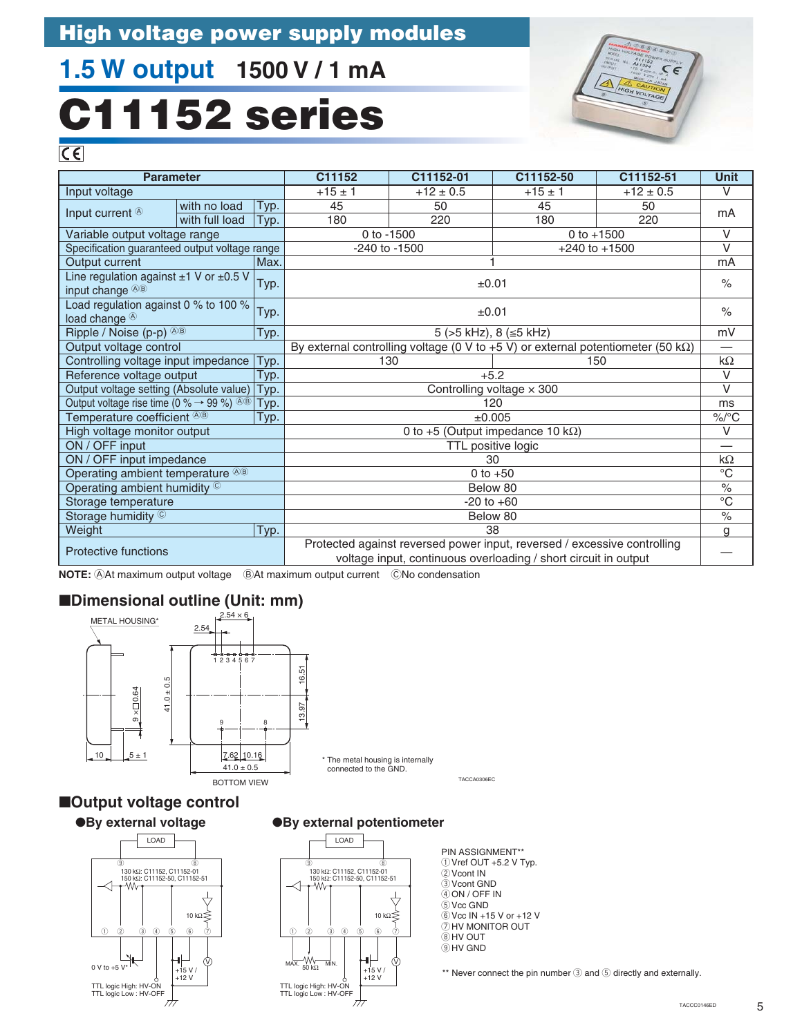# **1.5 W output 1500 V / 1 mA**

# **C11152 series**

![](_page_6_Picture_3.jpeg)

 $\overline{C}$ 

| <b>Parameter</b>                                                                                  |                |      | C11152                                                                                   | C11152-01                  | C11152-50                                                                                                                                   | C11152-51         | <b>Unit</b>          |  |  |
|---------------------------------------------------------------------------------------------------|----------------|------|------------------------------------------------------------------------------------------|----------------------------|---------------------------------------------------------------------------------------------------------------------------------------------|-------------------|----------------------|--|--|
| Input voltage                                                                                     |                |      | $+15 \pm 1$                                                                              | $+12 \pm 0.5$              | $+15 \pm 1$                                                                                                                                 | $+12 \pm 0.5$     | $\vee$               |  |  |
|                                                                                                   | with no load   | Typ. | 45                                                                                       | 50                         | 45                                                                                                                                          | 50                | mA                   |  |  |
| Input current $\circledast$                                                                       | with full load | Typ. | 180                                                                                      | 220                        | 180                                                                                                                                         | 220               |                      |  |  |
| Variable output voltage range                                                                     |                |      |                                                                                          | 0 to -1500<br>0 to $+1500$ |                                                                                                                                             |                   |                      |  |  |
| Specification guaranteed output voltage range                                                     |                |      |                                                                                          | -240 to -1500              |                                                                                                                                             | $+240$ to $+1500$ | $\vee$               |  |  |
| Output current                                                                                    |                | Max. |                                                                                          |                            |                                                                                                                                             |                   | mA                   |  |  |
| Line regulation against $\pm 1$ V or $\pm 0.5$ V<br>input change <sup>48</sup>                    |                | Typ. |                                                                                          |                            | ±0.01                                                                                                                                       |                   | $\%$                 |  |  |
| Load regulation against 0 % to 100 %<br>load change <sup>®</sup>                                  |                | Typ. |                                                                                          |                            | ±0.01                                                                                                                                       |                   | $\%$                 |  |  |
| Ripple / Noise (p-p) <sup>AB</sup>                                                                |                | Typ. |                                                                                          |                            | 5 (>5 kHz), 8 (≤5 kHz)                                                                                                                      |                   | mV                   |  |  |
| Output voltage control                                                                            |                |      | By external controlling voltage (0 V to +5 V) or external potentiometer (50 k $\Omega$ ) |                            |                                                                                                                                             |                   |                      |  |  |
| Controlling voltage input impedance                                                               |                | Typ. | 130<br>150                                                                               |                            |                                                                                                                                             |                   |                      |  |  |
| Reference voltage output                                                                          |                | Typ. | $+5.2$                                                                                   |                            |                                                                                                                                             |                   |                      |  |  |
| Output voltage setting (Absolute value)   Typ.                                                    |                |      | Controlling voltage $\times$ 300                                                         |                            |                                                                                                                                             |                   |                      |  |  |
| Output voltage rise time (0 % $\rightarrow$ 99 %) <sup><math>\circledR\circledR</math></sup> Typ. |                |      | 120                                                                                      |                            |                                                                                                                                             |                   |                      |  |  |
| Temperature coefficient ®®                                                                        |                | Typ. | ±0.005                                                                                   |                            |                                                                                                                                             |                   |                      |  |  |
| High voltage monitor output                                                                       |                |      | 0 to +5 (Output impedance 10 k $\Omega$ )                                                |                            |                                                                                                                                             |                   |                      |  |  |
| ON / OFF input                                                                                    |                |      |                                                                                          |                            | TTL positive logic                                                                                                                          |                   | —                    |  |  |
| ON / OFF input impedance                                                                          |                |      |                                                                                          |                            | 30                                                                                                                                          |                   | k $\Omega$           |  |  |
| Operating ambient temperature <sup>®®</sup>                                                       |                |      |                                                                                          |                            | 0 to $+50$                                                                                                                                  |                   | $^{\circ}$ C         |  |  |
| Operating ambient humidity ©                                                                      |                |      |                                                                                          |                            | Below 80                                                                                                                                    |                   | $\%$                 |  |  |
| Storage temperature                                                                               |                |      |                                                                                          |                            | $-20$ to $+60$                                                                                                                              |                   | $\overline{C}$       |  |  |
| Storage humidity ©                                                                                |                |      |                                                                                          |                            | Below 80                                                                                                                                    |                   | $\frac{1}{\sqrt{2}}$ |  |  |
| Weight                                                                                            |                | Typ. |                                                                                          |                            | 38                                                                                                                                          |                   | g                    |  |  |
| Protective functions                                                                              |                |      |                                                                                          |                            | Protected against reversed power input, reversed / excessive controlling<br>voltage input, continuous overloading / short circuit in output |                   |                      |  |  |

**NOTE: At maximum output voltage BAt maximum output current CNo condensation** 

### ■**Dimensional outline (Unit: mm)**

![](_page_6_Figure_8.jpeg)

■**Output voltage control**

![](_page_6_Figure_10.jpeg)

#### ●**By external voltage ●By external potentiometer**

![](_page_6_Figure_12.jpeg)

PIN ASSIGNMENT\*\*  $()$  Vref OUT +5.2 V Typ. 2Vcont IN 3Vcont GND  $\overline{4}$  ON / OFF IN 5Vcc GND  $6$  Vcc IN +15 V or +12 V  $\overline{2}$ HV MONITOR OUT 8HV OUT  $9$  HV GND

\*\* Never connect the pin number  $\textcircled{3}$  and  $\textcircled{5}$  directly and externally.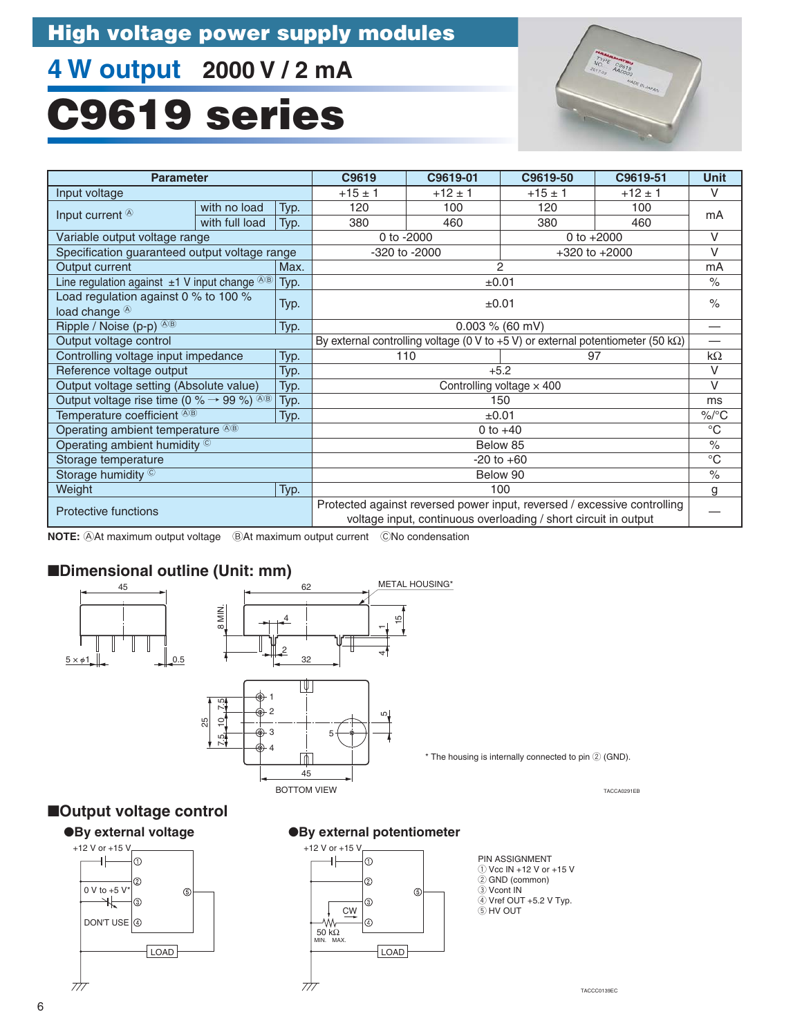# **4 W output 2000 V / 2 mA**

# **C9619 series**

![](_page_7_Picture_3.jpeg)

| <b>Parameter</b>                                               |                                              |      | C9619                                                                                                                                       | C9619-01                                                                                 | C9619-50       | C9619-51          | <b>Unit</b>          |  |
|----------------------------------------------------------------|----------------------------------------------|------|---------------------------------------------------------------------------------------------------------------------------------------------|------------------------------------------------------------------------------------------|----------------|-------------------|----------------------|--|
| Input voltage                                                  |                                              |      | $+15 \pm 1$                                                                                                                                 | $+12 \pm 1$                                                                              | $+15 \pm 1$    | $+12 \pm 1$       | $\vee$               |  |
| with no load<br>Input current $\circledcirc$<br>with full load |                                              | Typ. | 120                                                                                                                                         | 100                                                                                      | 120            | 100               | mA                   |  |
|                                                                |                                              | Typ. | 380                                                                                                                                         | 460                                                                                      | 380            | 460               |                      |  |
| Variable output voltage range                                  |                                              |      |                                                                                                                                             | 0 to -2000                                                                               |                | 0 to $+2000$      | $\vee$               |  |
| Specification guaranteed output voltage range                  |                                              |      |                                                                                                                                             | -320 to -2000                                                                            |                | $+320$ to $+2000$ | $\vee$               |  |
| Output current                                                 |                                              | Max. |                                                                                                                                             |                                                                                          | $\overline{2}$ |                   | mA                   |  |
| Line regulation against $\pm 1$ V input change $\circledcirc$  |                                              | Typ. |                                                                                                                                             |                                                                                          | ±0.01          |                   | $\frac{1}{\sqrt{2}}$ |  |
| load change <sup>®</sup>                                       | Load regulation against 0 % to 100 %<br>Typ. |      |                                                                                                                                             |                                                                                          | ±0.01          |                   | $\%$                 |  |
| Ripple / Noise (p-p) $\circledcirc$<br>Typ.                    |                                              |      |                                                                                                                                             | $0.003 \% (60 mV)$                                                                       |                |                   |                      |  |
| Output voltage control                                         |                                              |      |                                                                                                                                             | By external controlling voltage (0 V to +5 V) or external potentiometer (50 k $\Omega$ ) |                |                   |                      |  |
| Controlling voltage input impedance                            |                                              | Typ. | 110<br>97                                                                                                                                   |                                                                                          |                |                   | $k\Omega$            |  |
| Reference voltage output                                       |                                              | Typ. | $+5.2$                                                                                                                                      |                                                                                          |                |                   |                      |  |
| Output voltage setting (Absolute value)                        |                                              | Typ. | Controlling voltage $\times$ 400                                                                                                            |                                                                                          |                |                   |                      |  |
| Output voltage rise time (0 % $\rightarrow$ 99 %) $\circledR$  |                                              | Typ. |                                                                                                                                             |                                                                                          | 150            |                   | ms<br>$\%$ /°C       |  |
| Temperature coefficient <sup>@®</sup>                          |                                              | Typ. | ±0.01                                                                                                                                       |                                                                                          |                |                   |                      |  |
| Operating ambient temperature <sup>®®</sup>                    |                                              |      | 0 to $+40$                                                                                                                                  |                                                                                          |                |                   |                      |  |
| Operating ambient humidity ©                                   |                                              |      |                                                                                                                                             |                                                                                          | Below 85       |                   | $\%$                 |  |
| Storage temperature                                            |                                              |      |                                                                                                                                             |                                                                                          | $-20$ to $+60$ |                   | $^{\circ}C$          |  |
| Storage humidity ©                                             |                                              |      |                                                                                                                                             | Below 90                                                                                 |                | $\%$              |                      |  |
| Weight<br>Typ.                                                 |                                              | 100  |                                                                                                                                             |                                                                                          |                | g                 |                      |  |
| Protective functions                                           |                                              |      | Protected against reversed power input, reversed / excessive controlling<br>voltage input, continuous overloading / short circuit in output |                                                                                          |                |                   |                      |  |

**NOTE: AAt maximum output voltage BAt maximum output current** CNo condensation

### ■**Dimensional outline (Unit: mm)**

![](_page_7_Figure_7.jpeg)

### ■**Output voltage control**

![](_page_7_Figure_9.jpeg)

#### ●**By external potentiometer**

![](_page_7_Figure_11.jpeg)

PIN ASSIGNMENT  $\overline{10}$  Vcc IN +12 V or +15 V 2 GND (common) 3 Vcont IN  $\overline{4}$  Vref OUT +5.2 V Typ. **5 HV OUT** 

TACCA0291EB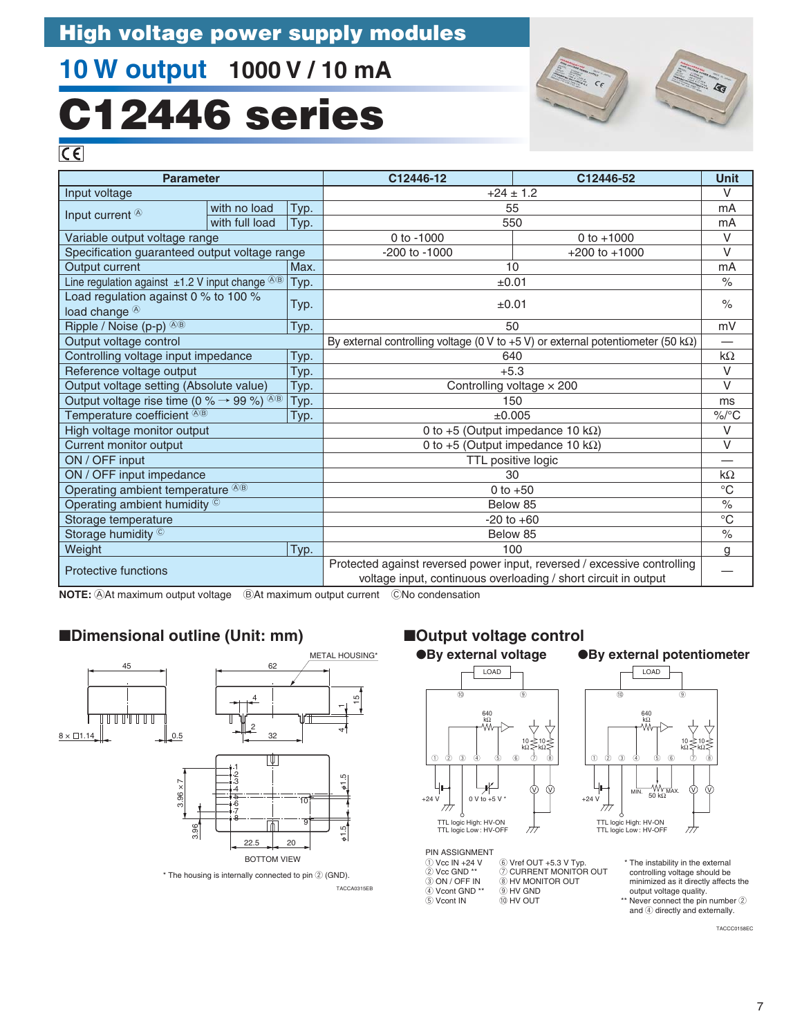# **10 W output 1000 V / 10 mA**

# **C12446 series**

![](_page_8_Picture_3.jpeg)

 $\overline{C}$ 

| <b>Parameter</b>                                                 |              |      | C12446-12                                                                                                                                   | C12446-52         | <b>Unit</b>   |  |
|------------------------------------------------------------------|--------------|------|---------------------------------------------------------------------------------------------------------------------------------------------|-------------------|---------------|--|
| Input voltage                                                    |              |      | $+24 \pm 1.2$                                                                                                                               |                   | $\vee$        |  |
| Input current <sup>®</sup>                                       | with no load | Typ. | 55                                                                                                                                          |                   | mA            |  |
| with full load                                                   |              | Typ. |                                                                                                                                             | 550               |               |  |
| Variable output voltage range                                    |              |      | 0 to -1000                                                                                                                                  | 0 to $+1000$      | $\vee$        |  |
| Specification guaranteed output voltage range                    |              |      | -200 to -1000                                                                                                                               | $+200$ to $+1000$ | $\vee$        |  |
| Output current                                                   |              | Max. | 10                                                                                                                                          |                   | mA            |  |
| Line regulation against $\pm 1.2$ V input change $\sqrt[3]{8}$   |              | Typ. | ±0.01                                                                                                                                       |                   | $\%$          |  |
| Load regulation against 0 % to 100 %<br>load change <sup>®</sup> |              | Typ. | ±0.01                                                                                                                                       |                   | $\frac{0}{0}$ |  |
| Ripple / Noise (p-p) <sup>@®</sup>                               |              | Typ. | 50                                                                                                                                          |                   | mV            |  |
| Output voltage control                                           |              |      | By external controlling voltage (0 V to +5 V) or external potentiometer (50 k $\Omega$ )                                                    |                   |               |  |
| Controlling voltage input impedance                              |              | Typ. | 640                                                                                                                                         |                   | $k\Omega$     |  |
| Reference voltage output                                         |              | Typ. | $+5.3$                                                                                                                                      |                   |               |  |
| Output voltage setting (Absolute value)                          |              | Typ. | Controlling voltage $\times$ 200                                                                                                            |                   |               |  |
| Output voltage rise time (0 % $\rightarrow$ 99 %) $\circledast$  |              | Typ. | 150                                                                                                                                         |                   |               |  |
| Temperature coefficient ®®                                       |              | Typ. | ±0.005                                                                                                                                      |                   |               |  |
| High voltage monitor output                                      |              |      | 0 to +5 (Output impedance 10 $k\Omega$ )                                                                                                    |                   | $\vee$        |  |
| Current monitor output                                           |              |      | 0 to +5 (Output impedance 10 k $\Omega$ )                                                                                                   |                   | V             |  |
| ON / OFF input                                                   |              |      | TTL positive logic                                                                                                                          |                   |               |  |
| ON / OFF input impedance                                         |              |      | 30                                                                                                                                          |                   | $k\Omega$     |  |
| Operating ambient temperature <sup>48</sup>                      |              |      | 0 to $+50$                                                                                                                                  |                   | $^{\circ}C$   |  |
| Operating ambient humidity ©                                     |              |      | Below 85                                                                                                                                    |                   | $\%$          |  |
| Storage temperature                                              |              |      | $-20$ to $+60$                                                                                                                              |                   | $^{\circ}$ C  |  |
| Storage humidity ©                                               |              |      | Below 85                                                                                                                                    |                   | $\frac{0}{0}$ |  |
| Weight                                                           |              | Typ. | 100                                                                                                                                         |                   | g             |  |
| <b>Protective functions</b>                                      |              |      | Protected against reversed power input, reversed / excessive controlling<br>voltage input, continuous overloading / short circuit in output |                   |               |  |

**NOTE:** AAt maximum output voltage BAt maximum output current CNo condensation

### ■**Dimensional outline (Unit: mm)**

![](_page_8_Figure_8.jpeg)

![](_page_8_Figure_9.jpeg)

4

15  $\mathbf -$ 

METAL HOUSING\*

TACCA0315EB  $*$  The housing is internally connected to pin  $@$  (GND).

#### ■**Output voltage control**

![](_page_8_Figure_12.jpeg)

#### ●**By external potentiometer**

![](_page_8_Figure_14.jpeg)

PIN ASSIGNMENT ① Vcc IN +24 V<br>② Vcc GND \*\*  $\ddot{a}$  ON / OFF IN 4 Vcont GND \*\*  $\overline{5}$  Vcont IN  $@$  Vref OUT +5.3 V Typ.<br>⑦ CURRENT MONITOR OUT **EXHIGHT ON THE STATE** o HV GND  $@$  HV OUT

\* The instability in the external controlling voltage should be minimized as it directly affects the output voltage quality. \*\* Never connect the pin number 2 and 4 directly and externally.

TACCC0158EC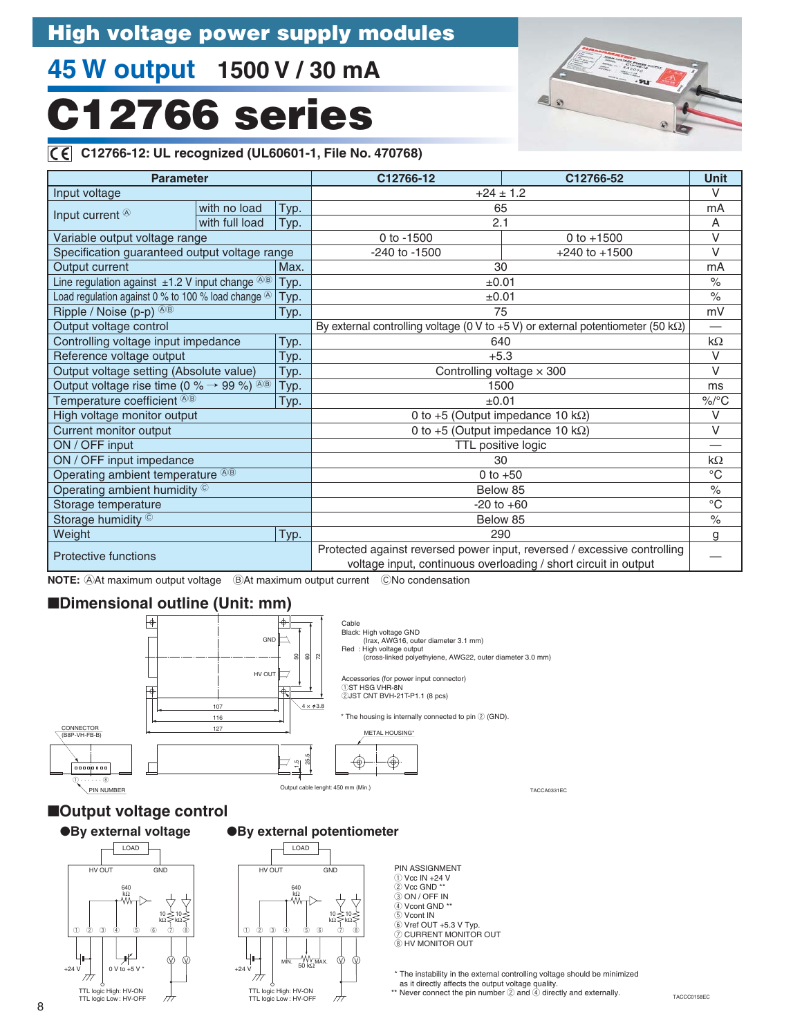# **45 W output 1500 V / 30 mA**

# **C12766 series**

### $\overline{C}$

| C E C12766-12: UL recognized (UL60601-1, File No. 470768)                        |                |      |                                                                                                                                                             |  |               |  |
|----------------------------------------------------------------------------------|----------------|------|-------------------------------------------------------------------------------------------------------------------------------------------------------------|--|---------------|--|
| <b>Parameter</b>                                                                 |                |      | C12766-12<br>C12766-52                                                                                                                                      |  | <b>Unit</b>   |  |
| Input voltage                                                                    |                |      | $+24 \pm 1.2$                                                                                                                                               |  | $\vee$        |  |
| Input current <sup>®</sup>                                                       | with no load   | Typ. | 65                                                                                                                                                          |  | mA            |  |
|                                                                                  | with full load | Typ. | 2.1                                                                                                                                                         |  | A             |  |
| Variable output voltage range                                                    |                |      | 0 to $+1500$<br>0 to -1500                                                                                                                                  |  | $\vee$        |  |
| Specification guaranteed output voltage range                                    |                |      | -240 to -1500<br>$+240$ to $+1500$                                                                                                                          |  | $\vee$        |  |
| Output current                                                                   |                | Max. | 30                                                                                                                                                          |  | mA            |  |
| Line regulation against $\pm 1.2$ V input change $\overline{AB}$                 |                | Typ. | ±0.01                                                                                                                                                       |  | $\frac{0}{0}$ |  |
| Load regulation against 0 % to 100 % load change $^{\circledR}$                  |                | Typ. | ±0.01                                                                                                                                                       |  | $\%$          |  |
| Ripple / Noise (p-p) $\circledcirc$                                              |                | Typ. | 75                                                                                                                                                          |  | mV            |  |
| Output voltage control                                                           |                |      | By external controlling voltage (0 V to +5 V) or external potentiometer (50 k $\Omega$ )                                                                    |  |               |  |
| Controlling voltage input impedance                                              |                | Typ. | 640                                                                                                                                                         |  | $k\Omega$     |  |
| Reference voltage output                                                         |                | Typ. | $+5.3$                                                                                                                                                      |  | $\vee$        |  |
| Output voltage setting (Absolute value)                                          |                | Typ. | Controlling voltage $\times$ 300                                                                                                                            |  | $\vee$        |  |
| Output voltage rise time (0 % $\rightarrow$ 99 %) <sup><math>\&amp;</math></sup> |                | Typ. | 1500                                                                                                                                                        |  | ms            |  |
| Temperature coefficient <sup>®®</sup>                                            |                | Typ. | ±0.01                                                                                                                                                       |  | $\%$ /°C      |  |
| High voltage monitor output                                                      |                |      | 0 to +5 (Output impedance 10 $k\Omega$ )                                                                                                                    |  | $\vee$        |  |
| Current monitor output                                                           |                |      | 0 to +5 (Output impedance 10 k $\Omega$ )                                                                                                                   |  | $\vee$        |  |
| ON / OFF input                                                                   |                |      | TTL positive logic                                                                                                                                          |  |               |  |
| ON / OFF input impedance                                                         |                |      | 30                                                                                                                                                          |  | $k\Omega$     |  |
| Operating ambient temperature <sup>®®</sup>                                      |                |      | 0 to $+50$                                                                                                                                                  |  | $^{\circ}C$   |  |
| Operating ambient humidity ©                                                     |                |      | Below 85                                                                                                                                                    |  | $\%$          |  |
| Storage temperature                                                              |                |      | $-20$ to $+60$                                                                                                                                              |  | $^{\circ}C$   |  |
| Storage humidity ©                                                               |                |      | Below 85                                                                                                                                                    |  | $\frac{0}{0}$ |  |
| Weight                                                                           |                | Typ. | 290                                                                                                                                                         |  | g             |  |
| Protective functions                                                             |                |      | Protected against reversed power input, reversed / excessive controlling<br>بالمستعمل والمستحدث والمسترين والمستحدث والمستحدث والمستحدث والمستحدث والمستحدث |  |               |  |

 $\circ$ 

voltage input, continuous overloading / short circuit in output

**NOTE: At maximum output voltage BAt maximum output current** CNo condensation

#### ■**Dimensional outline (Unit: mm)**

![](_page_9_Figure_8.jpeg)

#### ■**Output voltage control**

●**By external voltage**

![](_page_9_Figure_11.jpeg)

#### ●**By external potentiometer**

![](_page_9_Figure_13.jpeg)

| <b>PIN ASSIGNMENT</b>  |
|------------------------|
| $(1)$ Vcc IN +24 V     |
| $(2)$ Vcc GND $**$     |
| 3 ON / OFF IN          |
| 4) Vcont GND **        |
| 5) Vcont IN            |
| 6 Vref OUT +5.3 V Typ. |
| 7) CURRENT MONITOR OUT |
| (8) HV MONITOR OUT     |
|                        |

\* The instability in the external controlling voltage should be minimized as it directly affects the output voltage quality.

\*\* Never connect the pin number 2 and 4 directly and externally.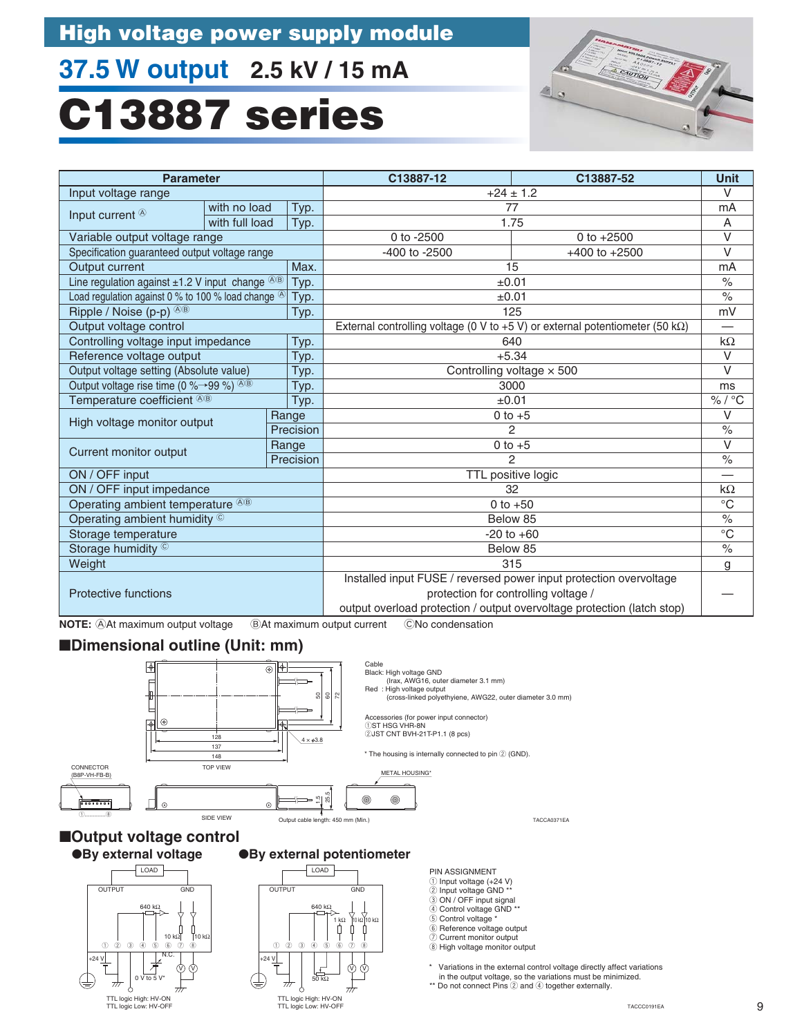# **37.5 W output 2.5 kV / 15 mA**

# **C13887 series**

![](_page_10_Picture_3.jpeg)

| <b>Parameter</b>                                               |                |           | C13887-12                                                                             | C13887-52         |                  |
|----------------------------------------------------------------|----------------|-----------|---------------------------------------------------------------------------------------|-------------------|------------------|
| Input voltage range                                            |                |           | $+24 \pm 1.2$                                                                         |                   | $\vee$           |
| Input current <sup>®</sup>                                     | with no load   | Typ.      | 77                                                                                    |                   | mA               |
|                                                                | with full load | Typ.      |                                                                                       | 1.75              | Α                |
| Variable output voltage range                                  |                |           | 0 to -2500                                                                            | 0 to $+2500$      | $\vee$           |
| Specification guaranteed output voltage range                  |                |           | -400 to -2500                                                                         | $+400$ to $+2500$ | V                |
| Output current                                                 |                | Max.      |                                                                                       | 15                | mA               |
| Line regulation against $\pm 1.2$ V input change $\sqrt[3]{8}$ |                | Typ.      | ±0.01                                                                                 |                   | $\%$             |
| Load regulation against 0 % to 100 % load change <sup>®</sup>  |                | Typ.      |                                                                                       | ±0.01             | $\%$             |
| Ripple / Noise (p-p) <sup>48</sup>                             |                | Typ.      |                                                                                       | 125               | mV               |
| Output voltage control                                         |                |           | External controlling voltage (0 V to +5 V) or external potentiometer (50 k $\Omega$ ) |                   | —                |
| Controlling voltage input impedance                            |                | Typ.      | 640                                                                                   |                   | $k\Omega$        |
| Reference voltage output                                       |                | Typ.      |                                                                                       | $+5.34$           | $\vee$           |
| Output voltage setting (Absolute value)                        |                | Typ.      | Controlling voltage $\times$ 500                                                      |                   | $\vee$           |
| Output voltage rise time (0 % $\rightarrow$ 99 %) $\circledR$  |                | Typ.      | 3000                                                                                  |                   | ms               |
| Temperature coefficient ®®                                     |                | Typ.      | ±0.01                                                                                 |                   | % / $^{\circ}$ C |
| High voltage monitor output                                    |                | Range     | $0$ to $+5$                                                                           |                   | V                |
|                                                                |                | Precision | 2                                                                                     |                   | $\frac{0}{0}$    |
| Current monitor output                                         |                | Range     | $0$ to $+5$                                                                           |                   | $\vee$           |
|                                                                |                | Precision | $\mathfrak{p}$                                                                        |                   | $\frac{0}{0}$    |
| ON / OFF input                                                 |                |           | TTL positive logic                                                                    |                   |                  |
| ON / OFF input impedance                                       |                |           | 32                                                                                    |                   | $k\Omega$        |
| Operating ambient temperature <sup>®®</sup>                    |                |           | 0 to $+50$                                                                            |                   | $\rm ^{\circ}C$  |
| Operating ambient humidity ©                                   |                |           | Below 85                                                                              |                   | $\frac{0}{0}$    |
| Storage temperature                                            |                |           | $-20$ to $+60$                                                                        |                   | $\overline{C}$   |
| Storage humidity ©                                             |                |           |                                                                                       | Below 85          | $\%$             |
| Weight                                                         |                |           |                                                                                       | 315               | g                |
|                                                                |                |           | Installed input FUSE / reversed power input protection overvoltage                    |                   |                  |
| <b>Protective functions</b>                                    |                |           | protection for controlling voltage /                                                  |                   |                  |
|                                                                |                |           | output overload protection / output overvoltage protection (latch stop)               |                   |                  |

**NOTE: At maximum output voltage BAt maximum output current** CNo condensation

#### ■**Dimensional outline (Unit: mm)**

![](_page_10_Figure_7.jpeg)

●**By external voltage** ■**Output voltage control**

#### ●**By external potentiometer**

![](_page_10_Figure_10.jpeg)

![](_page_10_Figure_11.jpeg)

PIN ASSIGNMENT

- 1 Input voltage (+24 V) 2 Input voltage GND \*\*
- 
- 3 ON / OFF input signal 4 Control voltage GND \*\*
- 
- $6$  Control voltage
- 6 Reference voltage output
- 7 Current monitor output 8 High voltage monitor output

Variations in the external control voltage directly affect variations in the output voltage, so the variations must be minimized.

\*\* Do not connect Pins 2 and 4 together externally.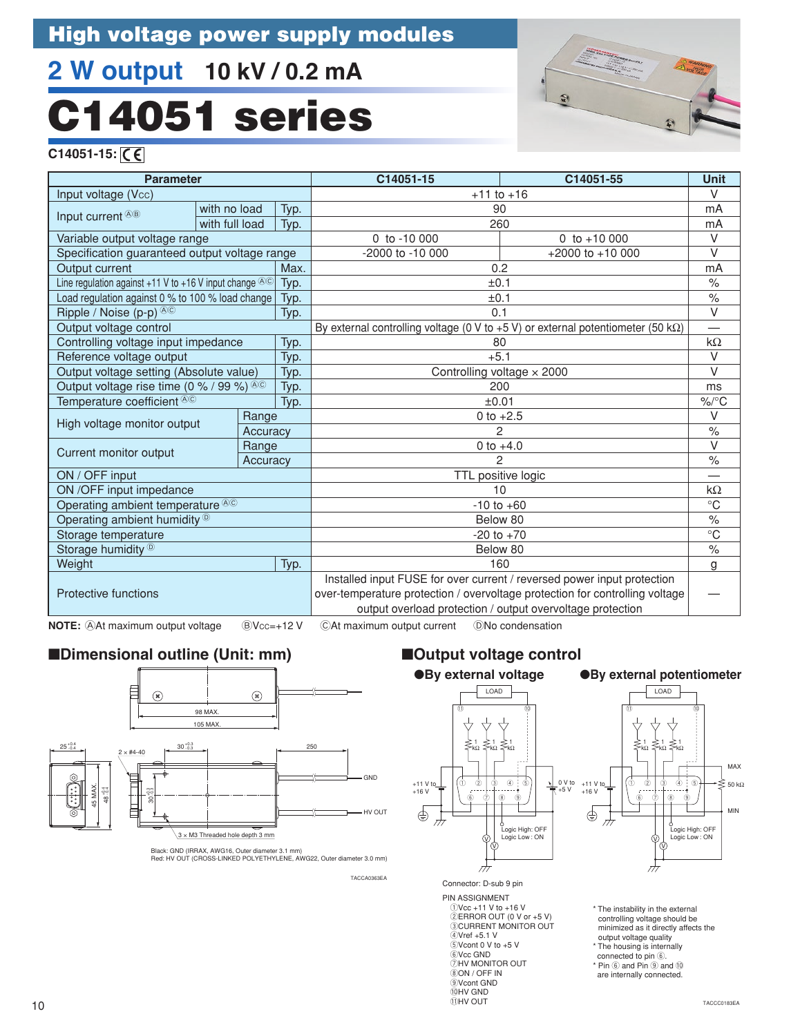# **2 W output 10 kV / 0.2 mA** C14051 series

![](_page_11_Picture_2.jpeg)

**C14051-15:** 

| <b>Parameter</b>                                                |                |          |                                   | C14051-15                                                                                  | C14051-55           | <b>Unit</b>              |
|-----------------------------------------------------------------|----------------|----------|-----------------------------------|--------------------------------------------------------------------------------------------|---------------------|--------------------------|
| Input voltage (Vcc)                                             |                |          |                                   | $+11$ to $+16$                                                                             |                     | $\vee$                   |
| Input current ®®                                                | with no load   |          | Typ.                              | 90                                                                                         |                     | mA                       |
|                                                                 | with full load |          | Typ.                              | 260                                                                                        |                     | mA                       |
| Variable output voltage range                                   |                |          |                                   | 0 to $-10000$                                                                              | 0 to $+10000$       | $\vee$                   |
| Specification guaranteed output voltage range                   |                |          |                                   | -2000 to -10 000                                                                           | $+2000$ to $+10000$ | $\vee$                   |
| <b>Output current</b>                                           |                |          | Max.                              | 0.2                                                                                        |                     | mA                       |
| Line regulation against +11 V to +16 V input change $\circledR$ |                |          | Typ.                              | ±0.1                                                                                       |                     | $\frac{1}{2}$            |
| Load regulation against 0 % to 100 % load change                |                |          | Typ.                              | ±0.1                                                                                       |                     | $\%$                     |
| Ripple / Noise (p-p) <sup>®©</sup>                              |                |          | Typ.                              | 0.1                                                                                        |                     | $\overline{\vee}$        |
| Output voltage control                                          |                |          |                                   | By external controlling voltage (0 V to $+5$ V) or external potentiometer (50 k $\Omega$ ) |                     | $\overline{\phantom{0}}$ |
| Controlling voltage input impedance                             |                |          | Typ.                              | 80                                                                                         |                     | $k\Omega$                |
| Reference voltage output                                        |                |          | Typ.                              | $+5.1$                                                                                     |                     | $\vee$                   |
| Output voltage setting (Absolute value)                         |                | Typ.     | Controlling voltage $\times$ 2000 |                                                                                            | $\vee$              |                          |
| Output voltage rise time (0 % / 99 %) $\circledR$               |                |          | Typ.                              | 200                                                                                        |                     | ms                       |
| Temperature coefficient <sup>®©</sup>                           |                |          | Typ.                              | ±0.01                                                                                      |                     | $\%$ /°C                 |
| High voltage monitor output                                     |                | Range    |                                   | 0 to $+2.5$                                                                                |                     | $\vee$                   |
|                                                                 |                | Accuracy |                                   | $\mathfrak{p}$                                                                             |                     | $\%$                     |
| Current monitor output                                          |                | Range    |                                   | 0 to $+4.0$                                                                                |                     | $\vee$                   |
|                                                                 |                | Accuracy |                                   | 2                                                                                          |                     | $\%$                     |
| ON / OFF input                                                  |                |          |                                   | TTL positive logic                                                                         |                     |                          |
| ON /OFF input impedance                                         |                |          |                                   | 10                                                                                         |                     | $k\Omega$                |
| Operating ambient temperature <sup>®©</sup>                     |                |          |                                   | $-10$ to $+60$                                                                             |                     | $\rm ^{\circ}C$          |
| Operating ambient humidity $\mathbb{D}$                         |                |          |                                   | Below 80                                                                                   |                     | $\%$                     |
| Storage temperature                                             |                |          |                                   | $-20$ to $+70$                                                                             |                     | $\overline{C}$           |
| Storage humidity <sup>®</sup>                                   |                |          |                                   | Below 80                                                                                   |                     | $\%$                     |
| Weight                                                          |                |          | Typ.                              | 160                                                                                        |                     | g                        |
|                                                                 |                |          |                                   | Installed input FUSE for over current / reversed power input protection                    |                     |                          |
| <b>Protective functions</b>                                     |                |          |                                   | over-temperature protection / overvoltage protection for controlling voltage               |                     |                          |
|                                                                 |                |          |                                   | output overload protection / output overvoltage protection                                 |                     |                          |

**NOTE:** At maximum output voltage  $\quad \textcircled{b}$ Vcc=+12 V  $\quad$  CAt maximum output current  $\quad$  ONo condensation

### ■**Dimensional outline (Unit: mm)**

![](_page_11_Figure_9.jpeg)

Red: HV OUT (CROSS-LINKED POLYETHYLENE, AWG22, Outer diameter 3.0 mm)

TACCA0363EA

## ■**Output voltage control**

![](_page_11_Figure_13.jpeg)

PIN ASSIGNMENT

qVcc +11 V to +16 V wERROR OUT (0 V or +5 V) **ECURRENT MONITOR OUT**  $4V$ ref +5.1 V  $5$ Vcont 0 V to +5 V  $&$ Vcc GND **DHV MONITOR OUT**  $\bar{8}$ ON / OFF IN oVcont GND **OHV GND**  $\overline{1}$ IHV OUT

![](_page_11_Figure_16.jpeg)

![](_page_11_Figure_17.jpeg)

\* The instability in the external controlling voltage should be minimized as it directly affects the output voltage quality \* The housing is internally connected to pin 6.  $*$  Pin  $\overline{6}$  and Pin  $\overline{9}$  and  $\overline{10}$ are internally connected.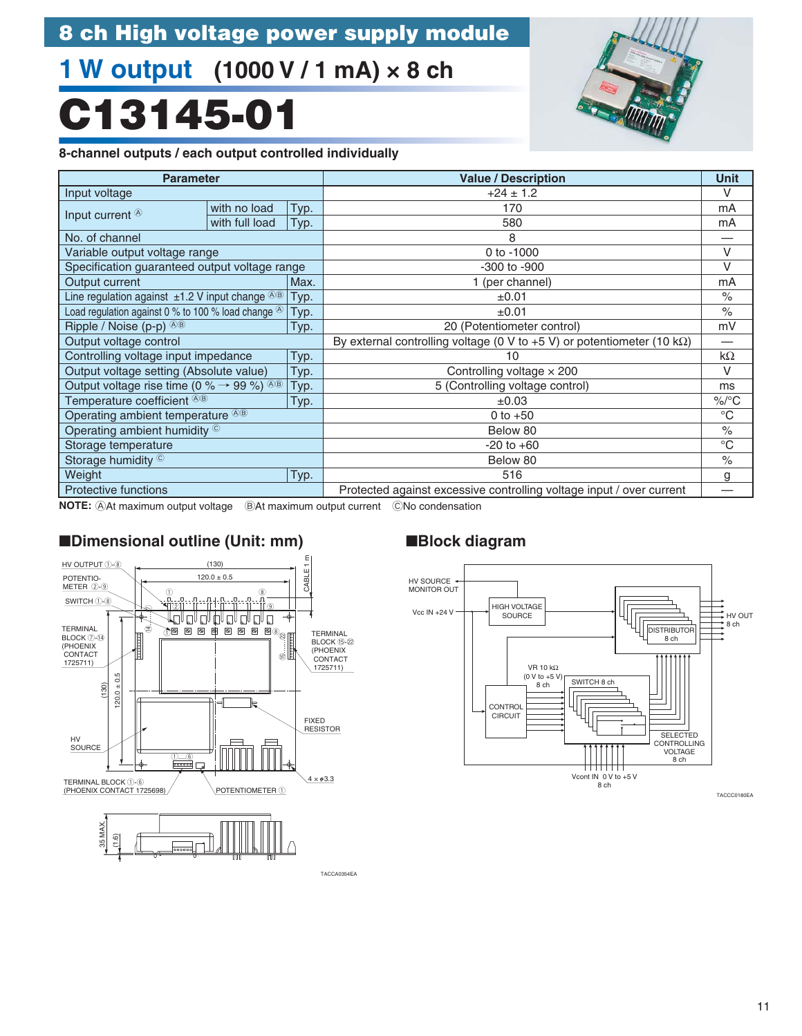# **1 W output (1000 V / 1 mA) × 8 ch**

# **C13145-01**

![](_page_12_Picture_3.jpeg)

#### **8-channel outputs / each output controlled individually**

| <b>Parameter</b>                                                   |                      |      | <b>Value / Description</b>                                                      | <b>Unit</b> |
|--------------------------------------------------------------------|----------------------|------|---------------------------------------------------------------------------------|-------------|
| Input voltage                                                      |                      |      | $+24 \pm 1.2$                                                                   |             |
| Input current <sup>®</sup>                                         | with no load<br>Typ. |      | 170                                                                             | mA          |
|                                                                    | with full load       | Typ. | 580                                                                             | mA          |
| No. of channel                                                     |                      |      | 8                                                                               |             |
| Variable output voltage range                                      |                      |      | 0 to $-1000$                                                                    | V           |
| Specification guaranteed output voltage range                      |                      |      | -300 to -900                                                                    | V           |
| Output current                                                     |                      | Max. | 1 (per channel)                                                                 | mA          |
| Line regulation against $\pm 1.2$ V input change $\&$ <sup>®</sup> |                      | Typ. | ±0.01                                                                           | $\%$        |
| Load regulation against 0 % to 100 % load change $\circledR$       |                      | Typ. | ±0.01                                                                           |             |
| Ripple / Noise (p-p) <sup>AB</sup><br>Typ.                         |                      |      | 20 (Potentiometer control)                                                      |             |
| Output voltage control                                             |                      |      | By external controlling voltage (0 V to +5 V) or potentiometer (10 k $\Omega$ ) | —           |
| Controlling voltage input impedance<br>Typ.                        |                      |      | 10                                                                              | $k\Omega$   |
| Output voltage setting (Absolute value)                            |                      | Typ. | Controlling voltage $\times$ 200                                                |             |
| Output voltage rise time (0 % $\rightarrow$ 99 %) AB               |                      | Typ. | 5 (Controlling voltage control)                                                 | ms          |
| Temperature coefficient <sup>®®</sup>                              |                      | Typ. | $\pm 0.03$                                                                      | $\%$ /°C    |
| Operating ambient temperature <sup>®®</sup>                        |                      |      | 0 to $+50$                                                                      |             |
| Operating ambient humidity ©                                       |                      |      | Below 80                                                                        |             |
| Storage temperature                                                |                      |      | $-20$ to $+60$                                                                  |             |
| Storage humidity ©                                                 |                      |      | Below 80                                                                        | $\%$        |
| Weight                                                             |                      | Typ. | 516                                                                             | g           |
| <b>Protective functions</b>                                        |                      |      | Protected against excessive controlling voltage input / over current            |             |

**NOTE:** AAt maximum output voltage BAt maximum output current CNo condensation

### ■**Dimensional outline (Unit: mm)** ■**Block diagram**

![](_page_12_Figure_8.jpeg)

![](_page_12_Figure_10.jpeg)

TACCA0354EA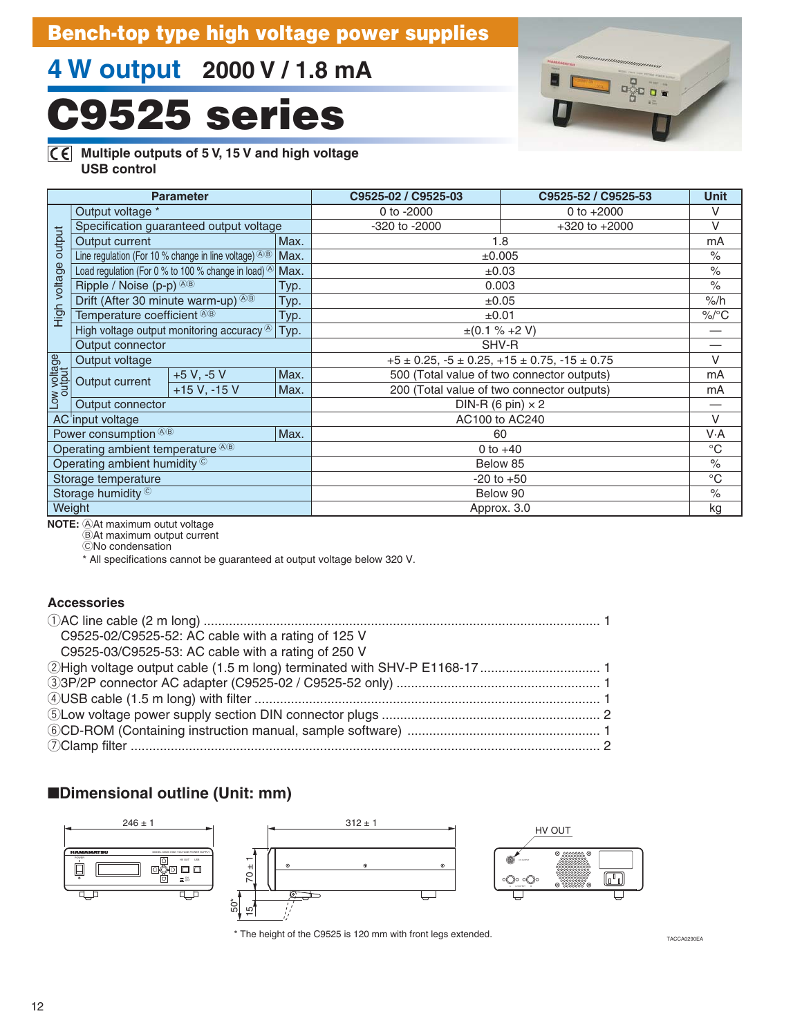## **Bench-top type high voltage power supplies**

# **4 W output 2000 V / 1.8 mA**

# **C9525 series**

![](_page_13_Picture_3.jpeg)

#### **Multiple outputs of 5 V, 15 V and high voltage USB control**

| <b>Parameter</b> |                                                                     |                                                                  |                                                                 | C9525-02 / C9525-03                        | C9525-52 / C9525-53                        | <b>Unit</b>   |
|------------------|---------------------------------------------------------------------|------------------------------------------------------------------|-----------------------------------------------------------------|--------------------------------------------|--------------------------------------------|---------------|
|                  | Output voltage *                                                    |                                                                  | 0 to -2000                                                      | 0 to $+2000$                               | V                                          |               |
|                  | Specification guaranteed output voltage                             |                                                                  |                                                                 | -320 to -2000                              | $+320$ to $+2000$                          | V             |
| output           | Output current                                                      |                                                                  | Max.                                                            |                                            | 1.8                                        |               |
|                  |                                                                     | Line regulation (For 10 % change in line voltage) $\circledR$    | Max.                                                            |                                            | ±0.005                                     | $\frac{1}{2}$ |
|                  |                                                                     | Load regulation (For 0 % to 100 % change in load) <sup>(8)</sup> | Max.                                                            | ±0.03                                      |                                            | $\%$          |
|                  | Ripple / Noise $(p-p)^{\langle\hat{p}\rangle\langle\hat{p}\rangle}$ |                                                                  | Typ.                                                            | 0.003                                      |                                            | $\%$          |
|                  | Drift (After 30 minute warm-up) ®®                                  |                                                                  | Typ.                                                            |                                            | $\pm 0.05$                                 | $%$ /h        |
| High voltage     | Temperature coefficient ®®                                          |                                                                  | Typ.                                                            | ±0.01                                      |                                            | $\%$ /°C      |
|                  | High voltage output monitoring accuracy $\circledR$<br>Typ.         |                                                                  |                                                                 | $\pm (0.1 \% + 2 V)$                       |                                            |               |
|                  | Output connector                                                    |                                                                  |                                                                 | SHV-R                                      |                                            |               |
| Low voltage      | Output voltage                                                      |                                                                  | $+5 \pm 0.25$ , $-5 \pm 0.25$ , $+15 \pm 0.75$ , $-15 \pm 0.75$ |                                            | V                                          |               |
|                  | Output current                                                      | $+5 V, -5 V$                                                     | Max.                                                            | 500 (Total value of two connector outputs) |                                            | mA            |
|                  |                                                                     | $+15 V, -15 V$                                                   | Max.                                                            |                                            | 200 (Total value of two connector outputs) | mA            |
|                  | Output connector                                                    |                                                                  |                                                                 | DIN-R (6 pin) $\times$ 2                   |                                            |               |
|                  | AC input voltage                                                    |                                                                  |                                                                 | AC100 to AC240                             |                                            | $\vee$        |
|                  | Power consumption <sup>®®</sup>                                     |                                                                  | Max.                                                            | 60                                         |                                            | V·A           |
|                  | Operating ambient temperature <sup>®®</sup>                         |                                                                  |                                                                 | 0 to $+40$                                 |                                            | $^{\circ}C$   |
|                  | Operating ambient humidity <sup>©</sup>                             |                                                                  |                                                                 | Below 85                                   |                                            | $\frac{1}{2}$ |
|                  | Storage temperature                                                 |                                                                  |                                                                 |                                            | $-20$ to $+50$                             | $^{\circ}C$   |
|                  | Storage humidity ©                                                  |                                                                  |                                                                 | Below 90                                   |                                            | $\%$          |
|                  | Weight                                                              |                                                                  |                                                                 |                                            | Approx. 3.0                                | kg            |

**NOTE:** At maximum outut voltage

 $\ddot{\text{B}}$ At maximum output current CNo condensation

\* All specifications cannot be guaranteed at output voltage below 320 V.

### **Accessories**

| C9525-02/C9525-52: AC cable with a rating of 125 V |  |
|----------------------------------------------------|--|
| C9525-03/C9525-53: AC cable with a rating of 250 V |  |
|                                                    |  |
|                                                    |  |
|                                                    |  |
|                                                    |  |
|                                                    |  |
|                                                    |  |

### ■**Dimensional outline (Unit: mm)**

![](_page_13_Figure_13.jpeg)

TACCA0290EA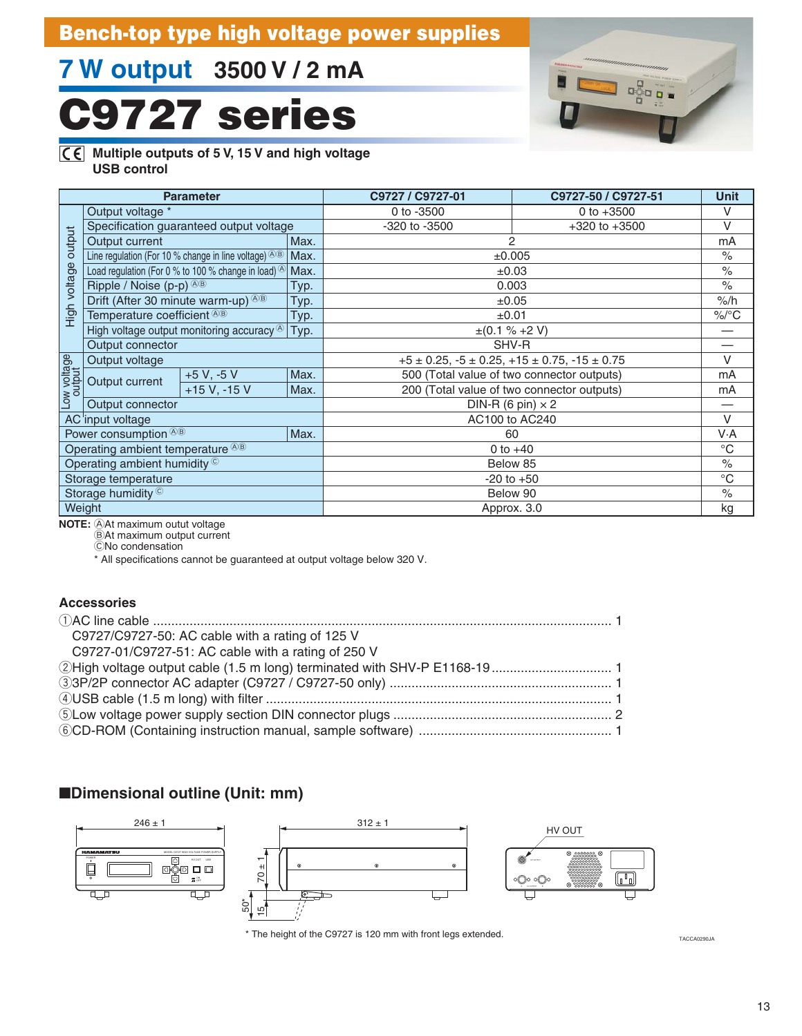# **Bench-top type high voltage power supplies**

# **7 W output 3500 V / 2 mA**

# **C9727 series**

![](_page_14_Picture_3.jpeg)

#### **Multiple outputs of 5 V, 15 V and high voltage USB control**

| <b>Parameter</b> |                                                       |                                                                               |            | C9727 / C9727-01                                                | C9727-50 / C9727-51 | <b>Unit</b>          |
|------------------|-------------------------------------------------------|-------------------------------------------------------------------------------|------------|-----------------------------------------------------------------|---------------------|----------------------|
|                  | Output voltage *                                      |                                                                               | 0 to -3500 | 0 to $+3500$                                                    | V                   |                      |
|                  | Specification guaranteed output voltage               |                                                                               |            | -320 to -3500                                                   | $+320$ to $+3500$   | V                    |
| output           | Output current                                        |                                                                               | Max.       | 2                                                               |                     | mA                   |
|                  |                                                       | Line regulation (For 10 % change in line voltage) $\circledcirc$ <sup>®</sup> | Max.       | ±0.005                                                          |                     | $\frac{0}{0}$        |
|                  |                                                       | Load regulation (For 0 % to 100 % change in load) $^{\circledR}$              | Max.       |                                                                 | $\pm 0.03$          | $\frac{1}{\sqrt{2}}$ |
|                  | Ripple / Noise $(p-p)^{(0,0)}$                        |                                                                               | Typ.       |                                                                 | 0.003               | $\frac{1}{\sqrt{2}}$ |
|                  | Drift (After 30 minute warm-up) ®®                    |                                                                               | Typ.       |                                                                 | ±0.05               | %/h                  |
| High voltage     | Temperature coefficient ®®                            |                                                                               | Typ.       | ±0.01                                                           |                     | $\%$ /°C             |
|                  | High voltage output monitoring accuracy $\circledast$ |                                                                               | Typ.       | $\pm (0.1 \% + 2 V)$                                            |                     |                      |
|                  | Output connector                                      |                                                                               |            | SHV-R                                                           |                     |                      |
| Low voltage      | Output voltage                                        |                                                                               |            | $+5 \pm 0.25$ , $-5 \pm 0.25$ , $+15 \pm 0.75$ , $-15 \pm 0.75$ |                     | V                    |
|                  | Output current                                        | $+5 V, -5 V$                                                                  | Max.       | 500 (Total value of two connector outputs)                      |                     | mA                   |
|                  |                                                       | $+15 V, -15 V$                                                                | Max.       | 200 (Total value of two connector outputs)                      |                     | mA                   |
|                  | Output connector                                      |                                                                               |            | DIN-R (6 pin) $\times$ 2                                        |                     |                      |
|                  | AC input voltage                                      |                                                                               |            | AC100 to AC240                                                  |                     | $\vee$               |
|                  | Power consumption <sup>®®</sup>                       |                                                                               | Max.       | 60                                                              |                     | V.A                  |
|                  | Operating ambient temperature <sup>®®</sup>           |                                                                               |            | 0 to $+40$                                                      |                     | $^{\circ}C$          |
|                  | Operating ambient humidity ©                          |                                                                               |            | Below 85                                                        |                     | $\%$                 |
|                  | Storage temperature                                   |                                                                               |            |                                                                 | $-20$ to $+50$      | $^{\circ}$ C         |
|                  | Storage humidity ©                                    |                                                                               |            | Below 90                                                        |                     | $\frac{0}{0}$        |
|                  | Weight                                                |                                                                               |            | Approx. 3.0                                                     |                     | kg                   |

**NOTE:** At maximum outut voltage

 $\ddot{\text{B}}$ At maximum output current CNo condensation

\* All specifications cannot be guaranteed at output voltage below 320 V.

#### **Accessories**

| C9727/C9727-50: AC cable with a rating of 125 V    |  |
|----------------------------------------------------|--|
| C9727-01/C9727-51: AC cable with a rating of 250 V |  |
|                                                    |  |
|                                                    |  |
|                                                    |  |
|                                                    |  |
|                                                    |  |

### ■**Dimensional outline (Unit: mm)**

![](_page_14_Figure_13.jpeg)

TACCA0290JA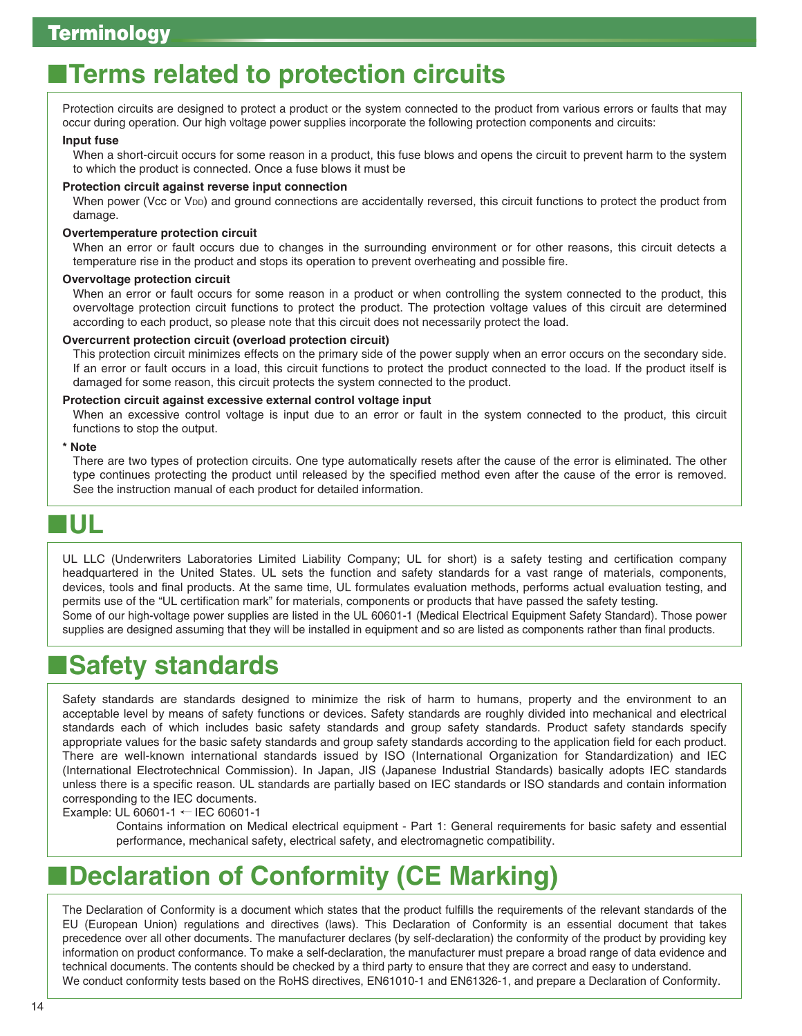# **Terms related to protection circuits**

Protection circuits are designed to protect a product or the system connected to the product from various errors or faults that may occur during operation. Our high voltage power supplies incorporate the following protection components and circuits:

#### **Input fuse**

When a short-circuit occurs for some reason in a product, this fuse blows and opens the circuit to prevent harm to the system to which the product is connected. Once a fuse blows it must be

#### **Protection circuit against reverse input connection**

When power (Vcc or V<sub>DD</sub>) and ground connections are accidentally reversed, this circuit functions to protect the product from damage.

#### **Overtemperature protection circuit**

When an error or fault occurs due to changes in the surrounding environment or for other reasons, this circuit detects a temperature rise in the product and stops its operation to prevent overheating and possible fire.

#### **Overvoltage protection circuit**

When an error or fault occurs for some reason in a product or when controlling the system connected to the product, this overvoltage protection circuit functions to protect the product. The protection voltage values of this circuit are determined according to each product, so please note that this circuit does not necessarily protect the load.

#### **Overcurrent protection circuit (overload protection circuit)**

This protection circuit minimizes effects on the primary side of the power supply when an error occurs on the secondary side. If an error or fault occurs in a load, this circuit functions to protect the product connected to the load. If the product itself is damaged for some reason, this circuit protects the system connected to the product.

#### **Protection circuit against excessive external control voltage input**

When an excessive control voltage is input due to an error or fault in the system connected to the product, this circuit functions to stop the output.

#### **\* Note**

There are two types of protection circuits. One type automatically resets after the cause of the error is eliminated. The other type continues protecting the product until released by the specified method even after the cause of the error is removed. See the instruction manual of each product for detailed information.

# ■**UL**

UL LLC (Underwriters Laboratories Limited Liability Company; UL for short) is a safety testing and certification company headquartered in the United States. UL sets the function and safety standards for a vast range of materials, components, devices, tools and final products. At the same time, UL formulates evaluation methods, performs actual evaluation testing, and permits use of the "UL certification mark" for materials, components or products that have passed the safety testing. Some of our high-voltage power supplies are listed in the UL 60601-1 (Medical Electrical Equipment Safety Standard). Those power supplies are designed assuming that they will be installed in equipment and so are listed as components rather than final products.

# ■**Safety standards**

Safety standards are standards designed to minimize the risk of harm to humans, property and the environment to an acceptable level by means of safety functions or devices. Safety standards are roughly divided into mechanical and electrical standards each of which includes basic safety standards and group safety standards. Product safety standards specify appropriate values for the basic safety standards and group safety standards according to the application field for each product. There are well-known international standards issued by ISO (International Organization for Standardization) and IEC (International Electrotechnical Commission). In Japan, JIS (Japanese Industrial Standards) basically adopts IEC standards unless there is a specific reason. UL standards are partially based on IEC standards or ISO standards and contain information corresponding to the IEC documents.

Example: UL 60601-1  $\leftarrow$  IEC 60601-1

Contains information on Medical electrical equipment - Part 1: General requirements for basic safety and essential performance, mechanical safety, electrical safety, and electromagnetic compatibility.

# ■**Declaration of Conformity (CE Marking)**

The Declaration of Conformity is a document which states that the product fulfills the requirements of the relevant standards of the EU (European Union) regulations and directives (laws). This Declaration of Conformity is an essential document that takes precedence over all other documents. The manufacturer declares (by self-declaration) the conformity of the product by providing key information on product conformance. To make a self-declaration, the manufacturer must prepare a broad range of data evidence and technical documents. The contents should be checked by a third party to ensure that they are correct and easy to understand. We conduct conformity tests based on the RoHS directives, EN61010-1 and EN61326-1, and prepare a Declaration of Conformity.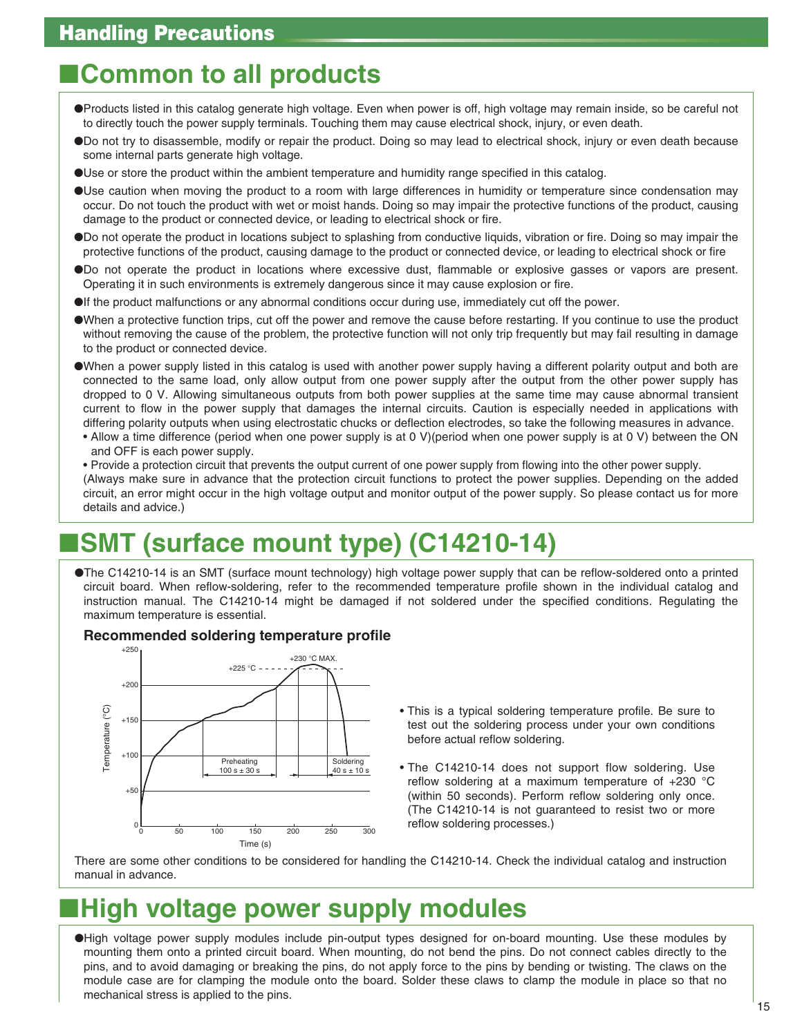# ■**Common to all products**

- ●Products listed in this catalog generate high voltage. Even when power is off, high voltage may remain inside, so be careful not to directly touch the power supply terminals. Touching them may cause electrical shock, injury, or even death.
- ●Do not try to disassemble, modify or repair the product. Doing so may lead to electrical shock, injury or even death because some internal parts generate high voltage.
- ●Use or store the product within the ambient temperature and humidity range specified in this catalog.
- ●Use caution when moving the product to a room with large differences in humidity or temperature since condensation may occur. Do not touch the product with wet or moist hands. Doing so may impair the protective functions of the product, causing damage to the product or connected device, or leading to electrical shock or fire.
- ●Do not operate the product in locations subject to splashing from conductive liquids, vibration or fire. Doing so may impair the protective functions of the product, causing damage to the product or connected device, or leading to electrical shock or fire
- ●Do not operate the product in locations where excessive dust, flammable or explosive gasses or vapors are present. Operating it in such environments is extremely dangerous since it may cause explosion or fire.
- ●If the product malfunctions or any abnormal conditions occur during use, immediately cut off the power.
- ●When a protective function trips, cut off the power and remove the cause before restarting. If you continue to use the product without removing the cause of the problem, the protective function will not only trip frequently but may fail resulting in damage to the product or connected device.
- ●When a power supply listed in this catalog is used with another power supply having a different polarity output and both are connected to the same load, only allow output from one power supply after the output from the other power supply has dropped to 0 V. Allowing simultaneous outputs from both power supplies at the same time may cause abnormal transient current to flow in the power supply that damages the internal circuits. Caution is especially needed in applications with differing polarity outputs when using electrostatic chucks or deflection electrodes, so take the following measures in advance.
- Allow a time difference (period when one power supply is at 0 V)(period when one power supply is at 0 V) between the ON and OFF is each power supply.
- Provide a protection circuit that prevents the output current of one power supply from flowing into the other power supply. (Always make sure in advance that the protection circuit functions to protect the power supplies. Depending on the added circuit, an error might occur in the high voltage output and monitor output of the power supply. So please contact us for more details and advice.)

# ■**SMT (surface mount type) (C14210-14)**

●The C14210-14 is an SMT (surface mount technology) high voltage power supply that can be reflow-soldered onto a printed circuit board. When reflow-soldering, refer to the recommended temperature profile shown in the individual catalog and instruction manual. The C14210-14 might be damaged if not soldered under the specified conditions. Regulating the maximum temperature is essential.

#### **Recommended soldering temperature profile**

![](_page_16_Figure_16.jpeg)

- This is a typical soldering temperature profile. Be sure to test out the soldering process under your own conditions before actual reflow soldering.
- The C14210-14 does not support flow soldering. Use reflow soldering at a maximum temperature of +230 °C (within 50 seconds). Perform reflow soldering only once. (The C14210-14 is not guaranteed to resist two or more reflow soldering processes.)

There are some other conditions to be considered for handling the C14210-14. Check the individual catalog and instruction manual in advance.

# ■**High voltage power supply modules**

●High voltage power supply modules include pin-output types designed for on-board mounting. Use these modules by mounting them onto a printed circuit board. When mounting, do not bend the pins. Do not connect cables directly to the pins, and to avoid damaging or breaking the pins, do not apply force to the pins by bending or twisting. The claws on the module case are for clamping the module onto the board. Solder these claws to clamp the module in place so that no mechanical stress is applied to the pins.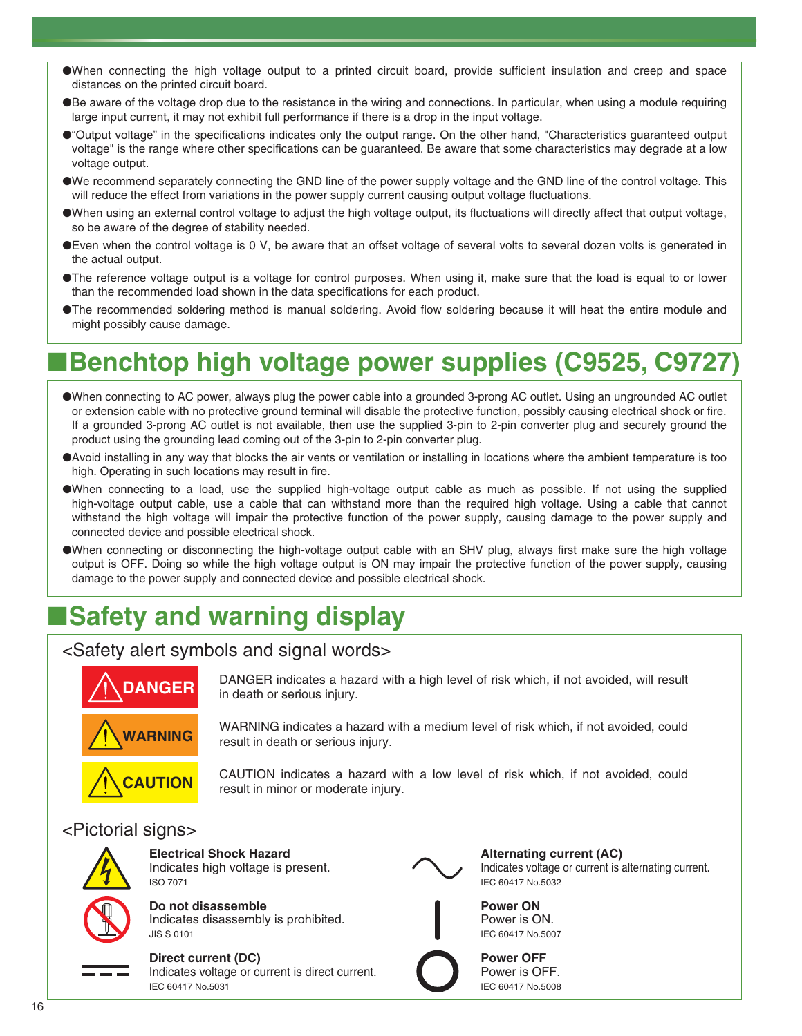- ●When connecting the high voltage output to a printed circuit board, provide sufficient insulation and creep and space distances on the printed circuit board.
- ●Be aware of the voltage drop due to the resistance in the wiring and connections. In particular, when using a module requiring large input current, it may not exhibit full performance if there is a drop in the input voltage.
- ●"Output voltage" in the specifications indicates only the output range. On the other hand, "Characteristics guaranteed output voltage" is the range where other specifications can be guaranteed. Be aware that some characteristics may degrade at a low voltage output.
- ●We recommend separately connecting the GND line of the power supply voltage and the GND line of the control voltage. This will reduce the effect from variations in the power supply current causing output voltage fluctuations.
- ●When using an external control voltage to adjust the high voltage output, its fluctuations will directly affect that output voltage, so be aware of the degree of stability needed.
- ●Even when the control voltage is 0 V, be aware that an offset voltage of several volts to several dozen volts is generated in the actual output.
- ●The reference voltage output is a voltage for control purposes. When using it, make sure that the load is equal to or lower than the recommended load shown in the data specifications for each product.
- ●The recommended soldering method is manual soldering. Avoid flow soldering because it will heat the entire module and might possibly cause damage.

# ■**Benchtop high voltage power supplies (C9525, C9727)**

- ●When connecting to AC power, always plug the power cable into a grounded 3-prong AC outlet. Using an ungrounded AC outlet or extension cable with no protective ground terminal will disable the protective function, possibly causing electrical shock or fire. If a grounded 3-prong AC outlet is not available, then use the supplied 3-pin to 2-pin converter plug and securely ground the product using the grounding lead coming out of the 3-pin to 2-pin converter plug.
- ●Avoid installing in any way that blocks the air vents or ventilation or installing in locations where the ambient temperature is too high. Operating in such locations may result in fire.
- ●When connecting to a load, use the supplied high-voltage output cable as much as possible. If not using the supplied high-voltage output cable, use a cable that can withstand more than the required high voltage. Using a cable that cannot withstand the high voltage will impair the protective function of the power supply, causing damage to the power supply and connected device and possible electrical shock.
- ●When connecting or disconnecting the high-voltage output cable with an SHV plug, always first make sure the high voltage output is OFF. Doing so while the high voltage output is ON may impair the protective function of the power supply, causing damage to the power supply and connected device and possible electrical shock.

# ■**Safety and warning display**

### <Safety alert symbols and signal words>

![](_page_17_Picture_15.jpeg)

DANGER indicates a hazard with a high level of risk which, if not avoided, will result in death or serious injury.

![](_page_17_Picture_17.jpeg)

WARNING indicates a hazard with a medium level of risk which, if not avoided, could result in death or serious injury.

**CAUTION**

CAUTION indicates a hazard with a low level of risk which, if not avoided, could result in minor or moderate injury.

### <Pictorial signs>

![](_page_17_Picture_23.jpeg)

**Electrical Shock Hazard** Indicates high voltage is present. ISO 7071

![](_page_17_Picture_25.jpeg)

**Do not disassemble** Indicates disassembly is prohibited.

#### **Direct current (DC)**

JIS S 0101

Indicates voltage or current is direct current. IEC 60417 No.5031

![](_page_17_Picture_29.jpeg)

**Alternating current (AC)** Indicates voltage or current is alternating current. IEC 60417 No.5032

Power is ON. IEC 60417 No.5007 **Power OFF** Power is OFF.

IEC 60417 No.5008

**Power ON**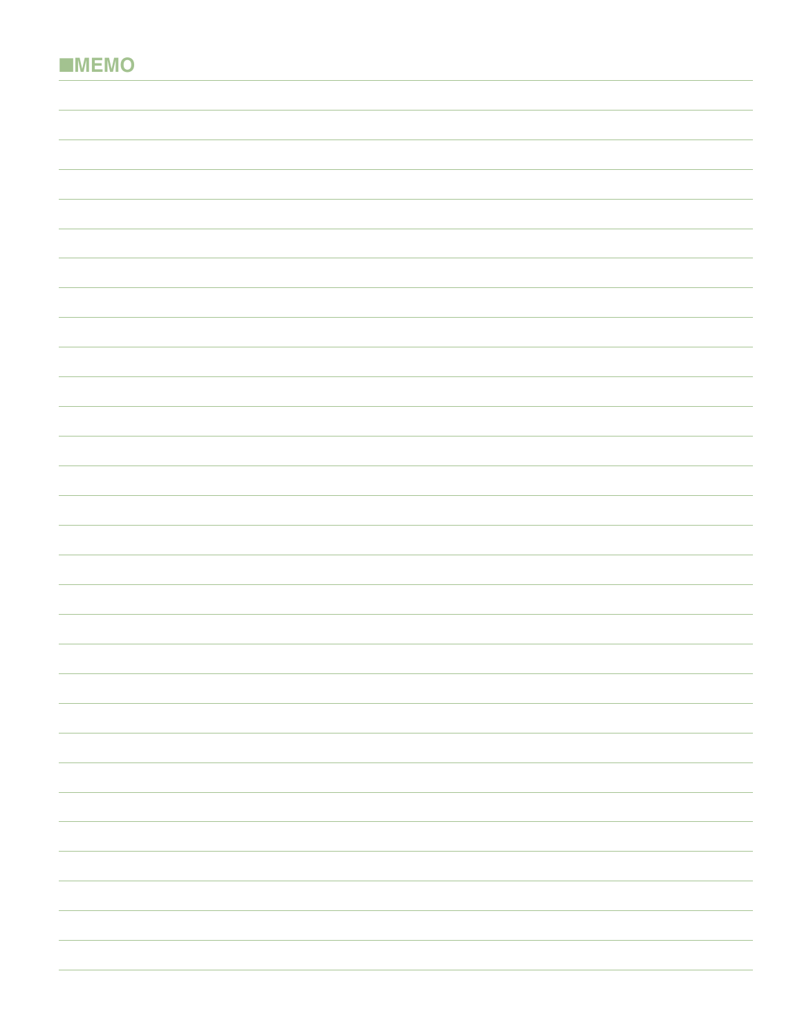|  | <b>EMEMO</b> |
|--|--------------|
|--|--------------|